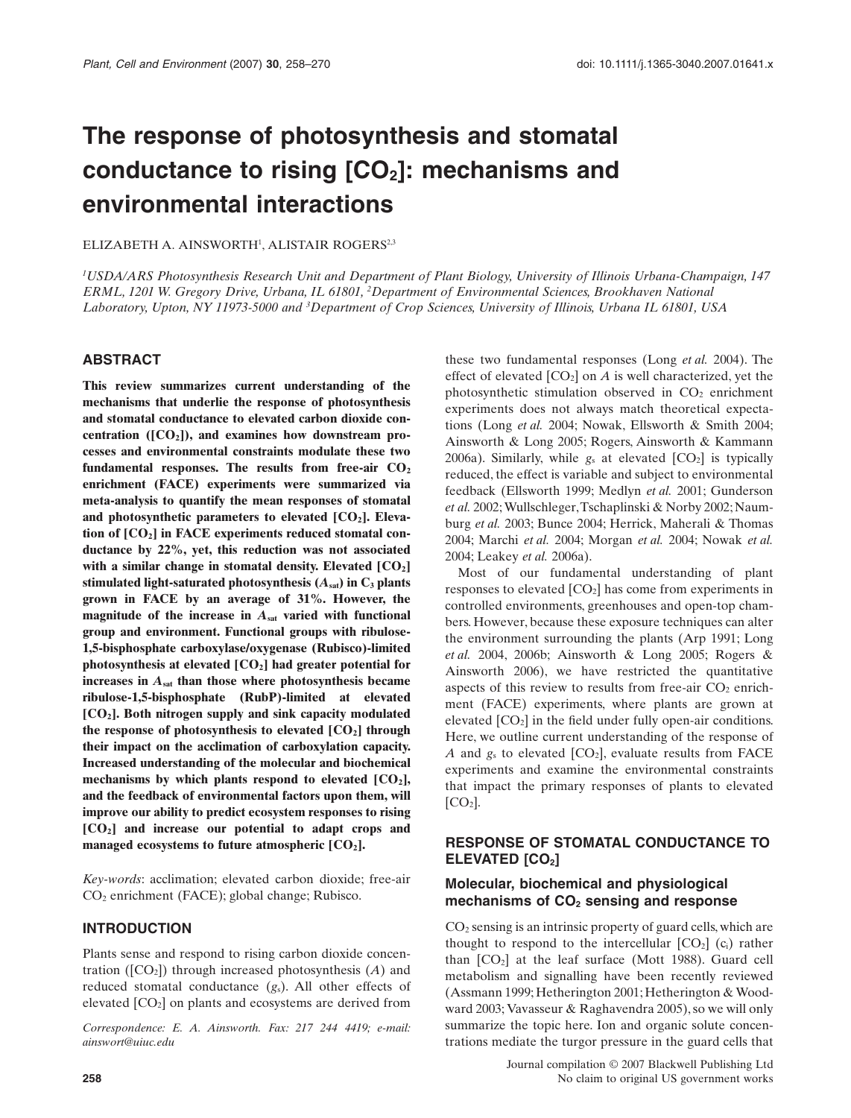# **The response of photosynthesis and stomatal** conductance to rising [CO<sub>2</sub>]: mechanisms and **environmental interactions**

ELIZABETH A. AINSWORTH<sup>1</sup>, ALISTAIR ROGERS<sup>2,3</sup>

*1 USDA/ARS Photosynthesis Research Unit and Department of Plant Biology, University of Illinois Urbana-Champaign, 147 ERML, 1201 W. Gregory Drive, Urbana, IL 61801, <sup>2</sup> Department of Environmental Sciences, Brookhaven National Laboratory, Upton, NY 11973-5000 and <sup>3</sup> Department of Crop Sciences, University of Illinois, Urbana IL 61801, USA*

## **ABSTRACT**

**This review summarizes current understanding of the mechanisms that underlie the response of photosynthesis and stomatal conductance to elevated carbon dioxide con**centration ([CO<sub>2</sub>]), and examines how downstream pro**cesses and environmental constraints modulate these two** fundamental responses. The results from free-air  $CO<sub>2</sub>$ **enrichment (FACE) experiments were summarized via meta-analysis to quantify the mean responses of stomatal** and photosynthetic parameters to elevated [CO<sub>2</sub>]. Eleva**tion of [CO2] in FACE experiments reduced stomatal conductance by 22%, yet, this reduction was not associated** with a similar change in stomatal density. Elevated [CO<sub>2</sub>] stimulated light-saturated photosynthesis  $(A_{sat})$  in  $C_3$  plants **grown in FACE by an average of 31%. However, the magnitude of the increase in** *A***sat varied with functional group and environment. Functional groups with ribulose-1,5-bisphosphate carboxylase/oxygenase (Rubisco)-limited photosynthesis at elevated [CO2] had greater potential for increases in** *A***sat than those where photosynthesis became ribulose-1,5-bisphosphate (RubP)-limited at elevated [CO2]. Both nitrogen supply and sink capacity modulated the response of photosynthesis to elevated [CO2] through their impact on the acclimation of carboxylation capacity. Increased understanding of the molecular and biochemical** mechanisms by which plants respond to elevated [CO<sub>2</sub>], **and the feedback of environmental factors upon them, will improve our ability to predict ecosystem responses to rising [CO2] and increase our potential to adapt crops and managed ecosystems to future atmospheric [CO2].**

*Key-words*: acclimation; elevated carbon dioxide; free-air CO2 enrichment (FACE); global change; Rubisco.

#### **INTRODUCTION**

Plants sense and respond to rising carbon dioxide concentration ( $[CO_2]$ ) through increased photosynthesis  $(A)$  and reduced stomatal conductance (*g*s). All other effects of elevated  $[CO<sub>2</sub>]$  on plants and ecosystems are derived from

*Correspondence: E. A. Ainsworth. Fax: 217 244 4419; e-mail: [ainswort@uiuc.edu](mailto:ainswort@uiuc.edu)*

these two fundamental responses (Long *et al.* 2004). The effect of elevated  $[CO_2]$  on *A* is well characterized, yet the photosynthetic stimulation observed in  $CO<sub>2</sub>$  enrichment experiments does not always match theoretical expectations (Long *et al.* 2004; Nowak, Ellsworth & Smith 2004; Ainsworth & Long 2005; Rogers, Ainsworth & Kammann 2006a). Similarly, while  $g_s$  at elevated  $[CO_2]$  is typically reduced, the effect is variable and subject to environmental feedback (Ellsworth 1999; Medlyn *et al.* 2001; Gunderson *et al.* 2002;Wullschleger,Tschaplinski & Norby 2002; Naumburg *et al.* 2003; Bunce 2004; Herrick, Maherali & Thomas 2004; Marchi *et al.* 2004; Morgan *et al.* 2004; Nowak *et al.* 2004; Leakey *et al.* 2006a).

Most of our fundamental understanding of plant responses to elevated  $[CO<sub>2</sub>]$  has come from experiments in controlled environments, greenhouses and open-top chambers. However, because these exposure techniques can alter the environment surrounding the plants (Arp 1991; Long *et al.* 2004, 2006b; Ainsworth & Long 2005; Rogers & Ainsworth 2006), we have restricted the quantitative aspects of this review to results from free-air  $CO<sub>2</sub>$  enrichment (FACE) experiments, where plants are grown at elevated  $[CO<sub>2</sub>]$  in the field under fully open-air conditions. Here, we outline current understanding of the response of *A* and  $g_s$  to elevated  $[CO_2]$ , evaluate results from FACE experiments and examine the environmental constraints that impact the primary responses of plants to elevated  $[CO<sub>2</sub>]$ .

# **RESPONSE OF STOMATAL CONDUCTANCE TO** ELEVATED [CO<sub>2</sub>]

## **Molecular, biochemical and physiological mechanisms of CO2 sensing and response**

 $CO<sub>2</sub>$  sensing is an intrinsic property of guard cells, which are thought to respond to the intercellular  $[CO_2]$  (c<sub>i</sub>) rather than  $[CO<sub>2</sub>]$  at the leaf surface (Mott 1988). Guard cell metabolism and signalling have been recently reviewed (Assmann 1999; Hetherington 2001; Hetherington  $&$  Woodward 2003; Vavasseur & Raghavendra 2005), so we will only summarize the topic here. Ion and organic solute concentrations mediate the turgor pressure in the guard cells that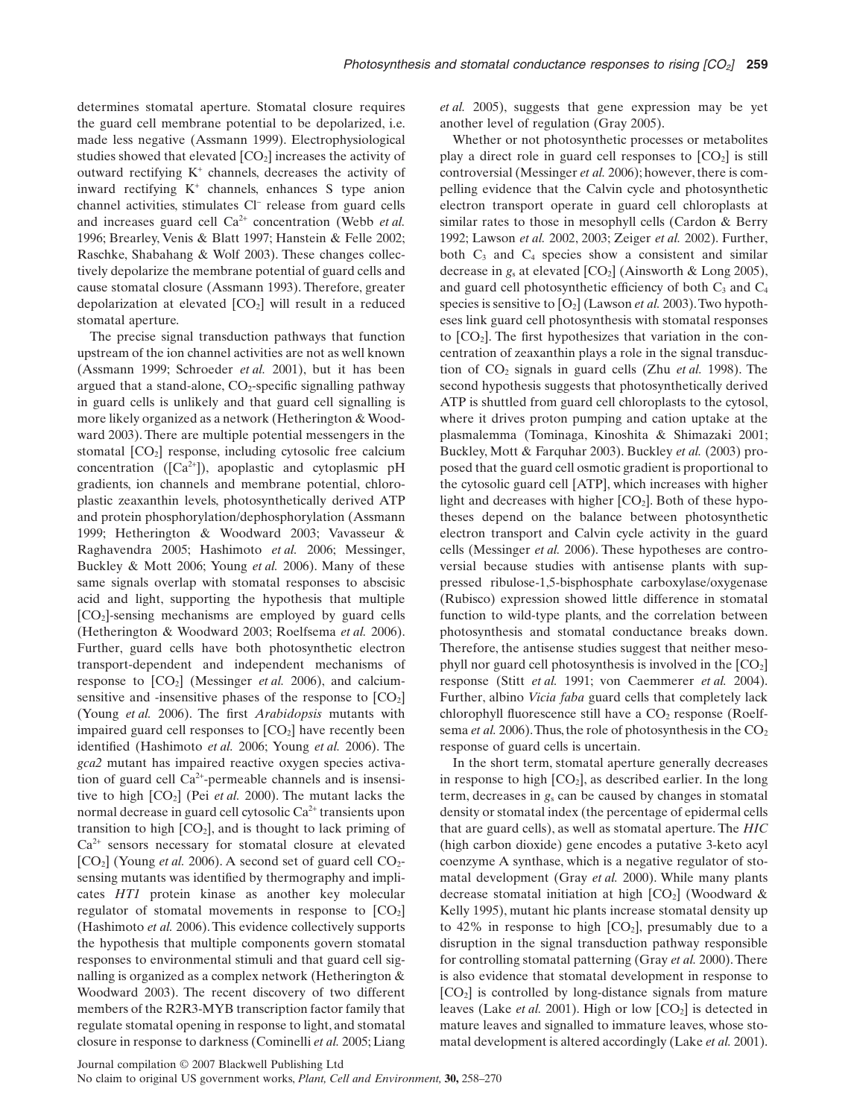determines stomatal aperture. Stomatal closure requires the guard cell membrane potential to be depolarized, i.e. made less negative (Assmann 1999). Electrophysiological studies showed that elevated  $[CO<sub>2</sub>]$  increases the activity of outward rectifying  $K^+$  channels, decreases the activity of inward rectifying  $K^+$  channels, enhances S type anion channel activities, stimulates Cl<sup>-</sup> release from guard cells and increases guard cell Ca<sup>2+</sup> concentration (Webb *et al.*) 1996; Brearley, Venis & Blatt 1997; Hanstein & Felle 2002; Raschke, Shabahang & Wolf 2003). These changes collectively depolarize the membrane potential of guard cells and cause stomatal closure (Assmann 1993). Therefore, greater depolarization at elevated  $[CO<sub>2</sub>]$  will result in a reduced stomatal aperture.

The precise signal transduction pathways that function upstream of the ion channel activities are not as well known (Assmann 1999; Schroeder *et al.* 2001), but it has been argued that a stand-alone,  $CO<sub>2</sub>$ -specific signalling pathway in guard cells is unlikely and that guard cell signalling is more likely organized as a network (Hetherington & Woodward 2003). There are multiple potential messengers in the stomatal  $[CO<sub>2</sub>]$  response, including cytosolic free calcium concentration ( $[Ca^{2+}]$ ), apoplastic and cytoplasmic pH gradients, ion channels and membrane potential, chloroplastic zeaxanthin levels, photosynthetically derived ATP and protein phosphorylation/dephosphorylation (Assmann 1999; Hetherington & Woodward 2003; Vavasseur & Raghavendra 2005; Hashimoto *et al.* 2006; Messinger, Buckley & Mott 2006; Young *et al.* 2006). Many of these same signals overlap with stomatal responses to abscisic acid and light, supporting the hypothesis that multiple [CO2]-sensing mechanisms are employed by guard cells (Hetherington & Woodward 2003; Roelfsema *et al.* 2006). Further, guard cells have both photosynthetic electron transport-dependent and independent mechanisms of response to  $[CO_2]$  (Messinger *et al.* 2006), and calciumsensitive and -insensitive phases of the response to  $[CO<sub>2</sub>]$ (Young *et al.* 2006). The first *Arabidopsis* mutants with impaired guard cell responses to  $[CO<sub>2</sub>]$  have recently been identified (Hashimoto *et al.* 2006; Young *et al.* 2006). The *gca2* mutant has impaired reactive oxygen species activation of guard cell  $Ca<sup>2+</sup>$ -permeable channels and is insensitive to high  $[CO_2]$  (Pei *et al.* 2000). The mutant lacks the normal decrease in guard cell cytosolic  $Ca<sup>2+</sup>$  transients upon transition to high  $[CO<sub>2</sub>]$ , and is thought to lack priming of  $Ca<sup>2+</sup>$  sensors necessary for stomatal closure at elevated [CO<sub>2</sub>] (Young *et al.* 2006). A second set of guard cell CO<sub>2</sub>sensing mutants was identified by thermography and implicates *HT1* protein kinase as another key molecular regulator of stomatal movements in response to  $[CO<sub>2</sub>]$ (Hashimoto *et al.* 2006). This evidence collectively supports the hypothesis that multiple components govern stomatal responses to environmental stimuli and that guard cell signalling is organized as a complex network (Hetherington & Woodward 2003). The recent discovery of two different members of the R2R3-MYB transcription factor family that regulate stomatal opening in response to light, and stomatal closure in response to darkness (Cominelli *et al.* 2005; Liang *et al.* 2005), suggests that gene expression may be yet another level of regulation (Gray 2005).

Whether or not photosynthetic processes or metabolites play a direct role in guard cell responses to  $[CO<sub>2</sub>]$  is still controversial (Messinger *et al.* 2006); however, there is compelling evidence that the Calvin cycle and photosynthetic electron transport operate in guard cell chloroplasts at similar rates to those in mesophyll cells (Cardon & Berry 1992; Lawson *et al.* 2002, 2003; Zeiger *et al.* 2002). Further, both  $C_3$  and  $C_4$  species show a consistent and similar decrease in *g<sub>s</sub>* at elevated [CO<sub>2</sub>] (Ainsworth & Long 2005), and guard cell photosynthetic efficiency of both  $C_3$  and  $C_4$ species is sensitive to  $[O_2]$  (Lawson *et al.* 2003). Two hypotheses link guard cell photosynthesis with stomatal responses to  $[CO<sub>2</sub>]$ . The first hypothesizes that variation in the concentration of zeaxanthin plays a role in the signal transduction of CO<sub>2</sub> signals in guard cells (Zhu *et al.* 1998). The second hypothesis suggests that photosynthetically derived ATP is shuttled from guard cell chloroplasts to the cytosol, where it drives proton pumping and cation uptake at the plasmalemma (Tominaga, Kinoshita & Shimazaki 2001; Buckley, Mott & Farquhar 2003). Buckley *et al.* (2003) proposed that the guard cell osmotic gradient is proportional to the cytosolic guard cell [ATP], which increases with higher light and decreases with higher  $[CO_2]$ . Both of these hypotheses depend on the balance between photosynthetic electron transport and Calvin cycle activity in the guard cells (Messinger *et al.* 2006). These hypotheses are controversial because studies with antisense plants with suppressed ribulose-1,5-bisphosphate carboxylase/oxygenase (Rubisco) expression showed little difference in stomatal function to wild-type plants, and the correlation between photosynthesis and stomatal conductance breaks down. Therefore, the antisense studies suggest that neither mesophyll nor guard cell photosynthesis is involved in the  $[CO<sub>2</sub>]$ response (Stitt *et al.* 1991; von Caemmerer *et al.* 2004). Further, albino *Vicia faba* guard cells that completely lack chlorophyll fluorescence still have a  $CO<sub>2</sub>$  response (Roelfsema *et al.* 2006). Thus, the role of photosynthesis in the  $CO<sub>2</sub>$ response of guard cells is uncertain.

In the short term, stomatal aperture generally decreases in response to high  $[CO_2]$ , as described earlier. In the long term, decreases in *g*<sup>s</sup> can be caused by changes in stomatal density or stomatal index (the percentage of epidermal cells that are guard cells), as well as stomatal aperture. The *HIC* (high carbon dioxide) gene encodes a putative 3-keto acyl coenzyme A synthase, which is a negative regulator of stomatal development (Gray *et al.* 2000). While many plants decrease stomatal initiation at high  $[CO<sub>2</sub>]$  (Woodward & Kelly 1995), mutant hic plants increase stomatal density up to 42% in response to high  $[CO_2]$ , presumably due to a disruption in the signal transduction pathway responsible for controlling stomatal patterning (Gray *et al.* 2000).There is also evidence that stomatal development in response to [CO2] is controlled by long-distance signals from mature leaves (Lake *et al.* 2001). High or low  $[CO_2]$  is detected in mature leaves and signalled to immature leaves, whose stomatal development is altered accordingly (Lake *et al.* 2001).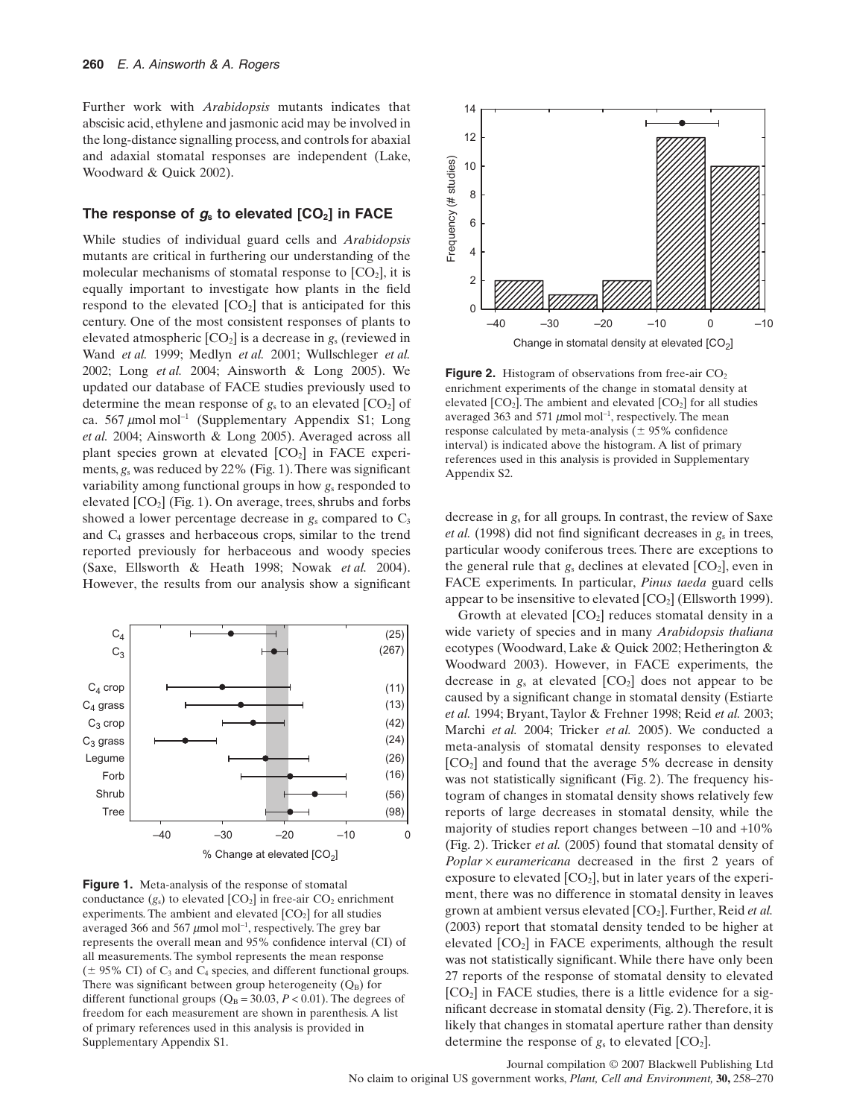Further work with *Arabidopsis* mutants indicates that abscisic acid, ethylene and jasmonic acid may be involved in the long-distance signalling process, and controls for abaxial and adaxial stomatal responses are independent (Lake, Woodward & Quick 2002).

## The response of  $g_s$  to elevated  $[CO_2]$  in FACE

While studies of individual guard cells and *Arabidopsis* mutants are critical in furthering our understanding of the molecular mechanisms of stomatal response to  $[CO<sub>2</sub>]$ , it is equally important to investigate how plants in the field respond to the elevated  $[CO<sub>2</sub>]$  that is anticipated for this century. One of the most consistent responses of plants to elevated atmospheric [CO2] is a decrease in *g*<sup>s</sup> (reviewed in Wand *et al.* 1999; Medlyn *et al.* 2001; Wullschleger *et al.* 2002; Long *et al.* 2004; Ainsworth & Long 2005). We updated our database of FACE studies previously used to determine the mean response of  $g_s$  to an elevated  $[CO_2]$  of ca. 567  $\mu$ mol mol<sup>-1</sup> (Supplementary Appendix S1; Long *et al.* 2004; Ainsworth & Long 2005). Averaged across all plant species grown at elevated  $[CO<sub>2</sub>]$  in FACE experiments, *g*<sup>s</sup> was reduced by 22% (Fig. 1).There was significant variability among functional groups in how *g*<sup>s</sup> responded to elevated  $[CO_2]$  (Fig. 1). On average, trees, shrubs and forbs showed a lower percentage decrease in  $g_s$  compared to  $C_3$ and C4 grasses and herbaceous crops, similar to the trend reported previously for herbaceous and woody species (Saxe, Ellsworth & Heath 1998; Nowak *et al.* 2004). However, the results from our analysis show a significant



**Figure 1.** Meta-analysis of the response of stomatal conductance  $(g_s)$  to elevated  $[CO_2]$  in free-air  $CO_2$  enrichment experiments. The ambient and elevated  $[CO<sub>2</sub>]$  for all studies averaged 366 and 567  $\mu$ mol mol<sup>-1</sup>, respectively. The grey bar represents the overall mean and 95% confidence interval (CI) of all measurements. The symbol represents the mean response  $(\pm 95\% \text{ CI})$  of C<sub>3</sub> and C<sub>4</sub> species, and different functional groups. There was significant between group heterogeneity  $(Q_B)$  for different functional groups ( $Q_B = 30.03$ ,  $P < 0.01$ ). The degrees of freedom for each measurement are shown in parenthesis. A list of primary references used in this analysis is provided in Supplementary Appendix S1.



**Figure 2.** Histogram of observations from free-air  $CO<sub>2</sub>$ enrichment experiments of the change in stomatal density at elevated  $[CO_2]$ . The ambient and elevated  $[CO_2]$  for all studies averaged 363 and 571  $\mu$ mol mol<sup>-1</sup>, respectively. The mean response calculated by meta-analysis ( $\pm$  95% confidence interval) is indicated above the histogram. A list of primary references used in this analysis is provided in Supplementary Appendix S2.

decrease in *g*<sup>s</sup> for all groups. In contrast, the review of Saxe *et al.* (1998) did not find significant decreases in *g*<sup>s</sup> in trees, particular woody coniferous trees. There are exceptions to the general rule that  $g_s$  declines at elevated  $[CO_2]$ , even in FACE experiments. In particular, *Pinus taeda* guard cells appear to be insensitive to elevated  $[CO<sub>2</sub>]$  (Ellsworth 1999).

Growth at elevated  $[CO_2]$  reduces stomatal density in a wide variety of species and in many *Arabidopsis thaliana* ecotypes (Woodward, Lake & Quick 2002; Hetherington & Woodward 2003). However, in FACE experiments, the decrease in  $g_s$  at elevated  $[CO_2]$  does not appear to be caused by a significant change in stomatal density (Estiarte *et al.* 1994; Bryant, Taylor & Frehner 1998; Reid *et al.* 2003; Marchi *et al.* 2004; Tricker *et al.* 2005). We conducted a meta-analysis of stomatal density responses to elevated  $[CO<sub>2</sub>]$  and found that the average 5% decrease in density was not statistically significant (Fig. 2). The frequency histogram of changes in stomatal density shows relatively few reports of large decreases in stomatal density, while the majority of studies report changes between -10 and +10% (Fig. 2). Tricker *et al.* (2005) found that stomatal density of *Poplar*  $\times$  *euramericana* decreased in the first 2 years of exposure to elevated  $[CO_2]$ , but in later years of the experiment, there was no difference in stomatal density in leaves grown at ambient versus elevated [CO<sub>2</sub>]. Further, Reid et al. (2003) report that stomatal density tended to be higher at elevated  $[CO<sub>2</sub>]$  in FACE experiments, although the result was not statistically significant. While there have only been 27 reports of the response of stomatal density to elevated [CO2] in FACE studies, there is a little evidence for a significant decrease in stomatal density (Fig. 2).Therefore, it is likely that changes in stomatal aperture rather than density determine the response of  $g_s$  to elevated  $[CO_2]$ .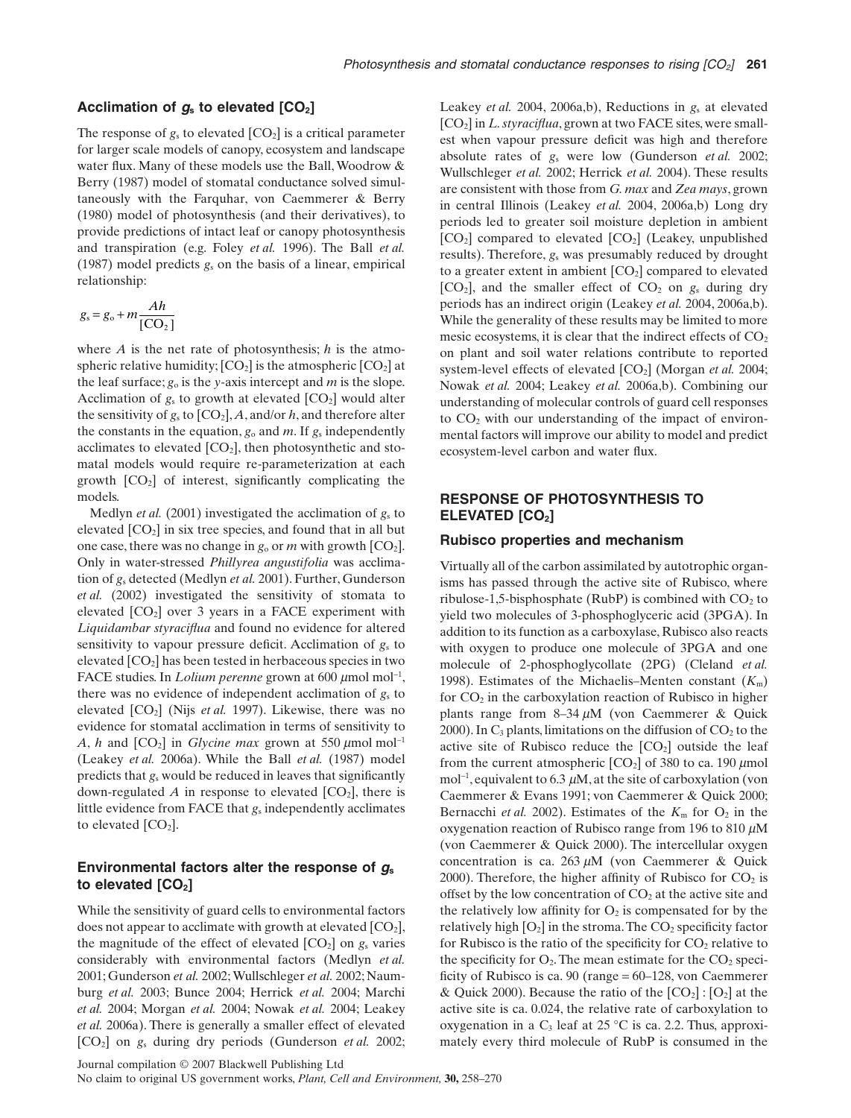#### **Acclimation of** *g***<sup>s</sup> to elevated [CO2]**

The response of  $g_s$  to elevated  $[CO_2]$  is a critical parameter for larger scale models of canopy, ecosystem and landscape water flux. Many of these models use the Ball, Woodrow & Berry (1987) model of stomatal conductance solved simultaneously with the Farquhar, von Caemmerer & Berry (1980) model of photosynthesis (and their derivatives), to provide predictions of intact leaf or canopy photosynthesis and transpiration (e.g. Foley *et al.* 1996). The Ball *et al.* (1987) model predicts *g*<sup>s</sup> on the basis of a linear, empirical relationship:

$$
g_s = g_o + m \frac{Ah}{[CO_2]}
$$

where *A* is the net rate of photosynthesis; *h* is the atmospheric relative humidity;  $[CO_2]$  is the atmospheric  $[CO_2]$  at the leaf surface;  $g_0$  is the *y*-axis intercept and *m* is the slope. Acclimation of  $g_s$  to growth at elevated  $[CO_2]$  would alter the sensitivity of  $g_s$  to  $[CO_2]$ ,  $A$ , and/or  $h$ , and therefore alter the constants in the equation,  $g_0$  and  $m$ . If  $g_s$  independently acclimates to elevated  $[CO_2]$ , then photosynthetic and stomatal models would require re-parameterization at each growth  $[CO<sub>2</sub>]$  of interest, significantly complicating the models.

Medlyn *et al.* (2001) investigated the acclimation of *g*<sup>s</sup> to elevated  $[CO<sub>2</sub>]$  in six tree species, and found that in all but one case, there was no change in  $g_0$  or *m* with growth  $[CO_2]$ . Only in water-stressed *Phillyrea angustifolia* was acclimation of *g*<sup>s</sup> detected (Medlyn *et al.* 2001). Further, Gunderson *et al.* (2002) investigated the sensitivity of stomata to elevated  $[CO<sub>2</sub>]$  over 3 years in a FACE experiment with *Liquidambar styraciflua* and found no evidence for altered sensitivity to vapour pressure deficit. Acclimation of *g*<sup>s</sup> to elevated  $[CO<sub>2</sub>]$  has been tested in herbaceous species in two FACE studies. In *Lolium perenne* grown at 600 μmol mol<sup>-1</sup>, there was no evidence of independent acclimation of  $g<sub>s</sub>$  to elevated [CO2] (Nijs *et al.* 1997). Likewise, there was no evidence for stomatal acclimation in terms of sensitivity to *A*, *h* and  $[CO_2]$  in *Glycine max* grown at 550  $\mu$ mol mol<sup>-1</sup> (Leakey *et al.* 2006a). While the Ball *et al.* (1987) model predicts that *g*<sup>s</sup> would be reduced in leaves that significantly down-regulated  $A$  in response to elevated  $[CO_2]$ , there is little evidence from FACE that *g*<sup>s</sup> independently acclimates to elevated  $[CO<sub>2</sub>]$ .

## **Environmental factors alter the response of** *g***<sup>s</sup>** to elevated [CO<sub>2</sub>]

While the sensitivity of guard cells to environmental factors does not appear to acclimate with growth at elevated  $[CO<sub>2</sub>]$ , the magnitude of the effect of elevated  $[CO_2]$  on  $g_s$  varies considerably with environmental factors (Medlyn *et al.* 2001; Gunderson *et al.* 2002; Wullschleger *et al.* 2002; Naumburg *et al.* 2003; Bunce 2004; Herrick *et al.* 2004; Marchi *et al.* 2004; Morgan *et al.* 2004; Nowak *et al.* 2004; Leakey *et al.* 2006a). There is generally a smaller effect of elevated [CO2] on *g*<sup>s</sup> during dry periods (Gunderson *et al.* 2002;

Leakey *et al.* 2004, 2006a,b), Reductions in *g*<sup>s</sup> at elevated [CO2] in *L. styraciflua*, grown at two FACE sites, were smallest when vapour pressure deficit was high and therefore absolute rates of *g*<sup>s</sup> were low (Gunderson *et al.* 2002; Wullschleger *et al.* 2002; Herrick *et al.* 2004). These results are consistent with those from *G. max* and *Zea mays*, grown in central Illinois (Leakey *et al.* 2004, 2006a,b) Long dry periods led to greater soil moisture depletion in ambient  $[CO_2]$  compared to elevated  $[CO_2]$  (Leakey, unpublished results). Therefore, *g*<sup>s</sup> was presumably reduced by drought to a greater extent in ambient  $[CO<sub>2</sub>]$  compared to elevated  $[CO<sub>2</sub>]$ , and the smaller effect of  $CO<sub>2</sub>$  on  $g<sub>s</sub>$  during dry periods has an indirect origin (Leakey *et al.* 2004, 2006a,b). While the generality of these results may be limited to more mesic ecosystems, it is clear that the indirect effects of  $CO<sub>2</sub>$ on plant and soil water relations contribute to reported system-level effects of elevated  $[CO<sub>2</sub>]$  (Morgan *et al.* 2004; Nowak *et al.* 2004; Leakey *et al.* 2006a,b). Combining our understanding of molecular controls of guard cell responses to CO<sub>2</sub> with our understanding of the impact of environmental factors will improve our ability to model and predict ecosystem-level carbon and water flux.

# **RESPONSE OF PHOTOSYNTHESIS TO ELEVATED [CO2]**

#### **Rubisco properties and mechanism**

Virtually all of the carbon assimilated by autotrophic organisms has passed through the active site of Rubisco, where ribulose-1,5-bisphosphate (RubP) is combined with  $CO<sub>2</sub>$  to yield two molecules of 3-phosphoglyceric acid (3PGA). In addition to its function as a carboxylase, Rubisco also reacts with oxygen to produce one molecule of 3PGA and one molecule of 2-phosphoglycollate (2PG) (Cleland *et al.* 1998). Estimates of the Michaelis–Menten constant  $(K<sub>m</sub>)$ for  $CO<sub>2</sub>$  in the carboxylation reaction of Rubisco in higher plants range from  $8-34 \mu M$  (von Caemmerer & Quick 2000). In  $C_3$  plants, limitations on the diffusion of  $CO_2$  to the active site of Rubisco reduce the  $[CO<sub>2</sub>]$  outside the leaf from the current atmospheric  $[CO_2]$  of 380 to ca. 190  $\mu$ mol  $mol^{-1}$ , equivalent to 6.3  $\mu$ M, at the site of carboxylation (von Caemmerer & Evans 1991; von Caemmerer & Quick 2000; Bernacchi *et al.* 2002). Estimates of the  $K<sub>m</sub>$  for  $O<sub>2</sub>$  in the oxygenation reaction of Rubisco range from 196 to 810  $\mu$ M (von Caemmerer & Quick 2000). The intercellular oxygen concentration is ca.  $263 \mu M$  (von Caemmerer & Quick 2000). Therefore, the higher affinity of Rubisco for  $CO<sub>2</sub>$  is offset by the low concentration of  $CO<sub>2</sub>$  at the active site and the relatively low affinity for  $O_2$  is compensated for by the relatively high  $[O_2]$  in the stroma. The  $CO_2$  specificity factor for Rubisco is the ratio of the specificity for  $CO<sub>2</sub>$  relative to the specificity for  $O_2$ . The mean estimate for the  $CO_2$  specificity of Rubisco is ca. 90 (range = 60–128, von Caemmerer & Quick 2000). Because the ratio of the  $[CO_2]$ :  $[O_2]$  at the active site is ca. 0.024, the relative rate of carboxylation to oxygenation in a  $C_3$  leaf at 25 °C is ca. 2.2. Thus, approximately every third molecule of RubP is consumed in the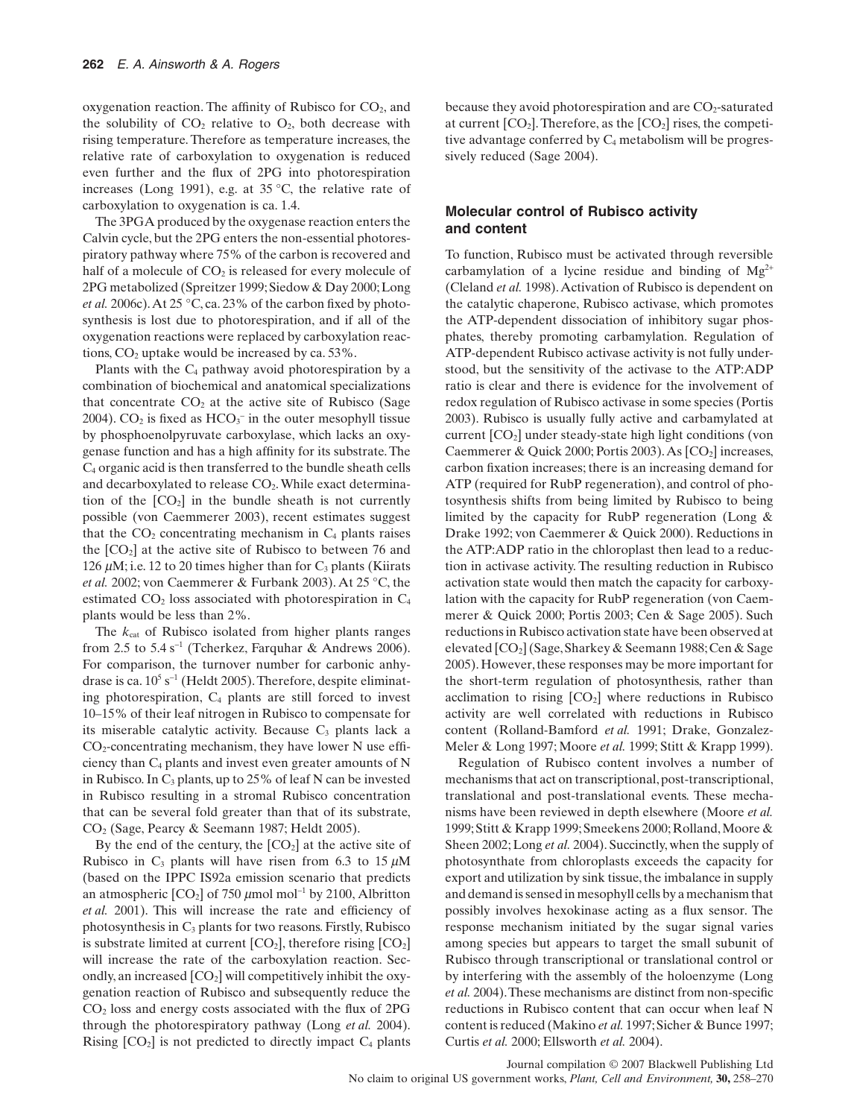oxygenation reaction. The affinity of Rubisco for  $CO<sub>2</sub>$ , and the solubility of  $CO<sub>2</sub>$  relative to  $O<sub>2</sub>$ , both decrease with rising temperature. Therefore as temperature increases, the relative rate of carboxylation to oxygenation is reduced even further and the flux of 2PG into photorespiration increases (Long 1991), e.g. at 35 °C, the relative rate of carboxylation to oxygenation is ca. 1.4.

The 3PGA produced by the oxygenase reaction enters the Calvin cycle, but the 2PG enters the non-essential photorespiratory pathway where 75% of the carbon is recovered and half of a molecule of  $CO<sub>2</sub>$  is released for every molecule of 2PG metabolized (Spreitzer 1999; Siedow & Day 2000;Long *et al.* 2006c).At 25 °C, ca. 23% of the carbon fixed by photosynthesis is lost due to photorespiration, and if all of the oxygenation reactions were replaced by carboxylation reactions,  $CO<sub>2</sub>$  uptake would be increased by ca. 53%.

Plants with the  $C_4$  pathway avoid photorespiration by a combination of biochemical and anatomical specializations that concentrate  $CO<sub>2</sub>$  at the active site of Rubisco (Sage 2004).  $CO_2$  is fixed as  $HCO_3^-$  in the outer mesophyll tissue by phosphoenolpyruvate carboxylase, which lacks an oxygenase function and has a high affinity for its substrate. The C4 organic acid is then transferred to the bundle sheath cells and decarboxylated to release CO<sub>2</sub>. While exact determination of the  $[CO<sub>2</sub>]$  in the bundle sheath is not currently possible (von Caemmerer 2003), recent estimates suggest that the  $CO<sub>2</sub>$  concentrating mechanism in  $C<sub>4</sub>$  plants raises the  $[CO<sub>2</sub>]$  at the active site of Rubisco to between 76 and 126  $\mu$ M; i.e. 12 to 20 times higher than for C<sub>3</sub> plants (Kiirats *et al.* 2002; von Caemmerer & Furbank 2003). At 25 °C, the estimated  $CO<sub>2</sub>$  loss associated with photorespiration in  $C<sub>4</sub>$ plants would be less than 2%.

The  $k_{cat}$  of Rubisco isolated from higher plants ranges from 2.5 to  $5.4 \text{ s}^{-1}$  (Tcherkez, Farquhar & Andrews 2006). For comparison, the turnover number for carbonic anhydrase is ca.  $10^5$  s<sup>-1</sup> (Heldt 2005). Therefore, despite eliminating photorespiration,  $C_4$  plants are still forced to invest 10–15% of their leaf nitrogen in Rubisco to compensate for its miserable catalytic activity. Because  $C_3$  plants lack a  $CO<sub>2</sub>$ -concentrating mechanism, they have lower N use efficiency than  $C_4$  plants and invest even greater amounts of N in Rubisco. In  $C_3$  plants, up to 25% of leaf N can be invested in Rubisco resulting in a stromal Rubisco concentration that can be several fold greater than that of its substrate, CO2 (Sage, Pearcy & Seemann 1987; Heldt 2005).

By the end of the century, the  $[CO<sub>2</sub>]$  at the active site of Rubisco in  $C_3$  plants will have risen from 6.3 to 15  $\mu$ M (based on the IPPC IS92a emission scenario that predicts an atmospheric  $[CO_2]$  of 750  $\mu$ mol mol<sup>-1</sup> by 2100, Albritton *et al.* 2001). This will increase the rate and efficiency of photosynthesis in  $C_3$  plants for two reasons. Firstly, Rubisco is substrate limited at current  $[CO_2]$ , therefore rising  $[CO_2]$ will increase the rate of the carboxylation reaction. Secondly, an increased  $[CO_2]$  will competitively inhibit the oxygenation reaction of Rubisco and subsequently reduce the CO2 loss and energy costs associated with the flux of 2PG through the photorespiratory pathway (Long *et al.* 2004). Rising  $[CO<sub>2</sub>]$  is not predicted to directly impact  $C<sub>4</sub>$  plants because they avoid photorespiration and are  $CO<sub>2</sub>$ -saturated at current  $[CO_2]$ . Therefore, as the  $[CO_2]$  rises, the competitive advantage conferred by  $C_4$  metabolism will be progressively reduced (Sage 2004).

#### **Molecular control of Rubisco activity and content**

To function, Rubisco must be activated through reversible carbamylation of a lycine residue and binding of  $Mg^{2+}$ (Cleland *et al.* 1998).Activation of Rubisco is dependent on the catalytic chaperone, Rubisco activase, which promotes the ATP-dependent dissociation of inhibitory sugar phosphates, thereby promoting carbamylation. Regulation of ATP-dependent Rubisco activase activity is not fully understood, but the sensitivity of the activase to the ATP:ADP ratio is clear and there is evidence for the involvement of redox regulation of Rubisco activase in some species (Portis 2003). Rubisco is usually fully active and carbamylated at current [CO2] under steady-state high light conditions (von Caemmerer & Quick 2000; Portis 2003). As  $[CO<sub>2</sub>]$  increases, carbon fixation increases; there is an increasing demand for ATP (required for RubP regeneration), and control of photosynthesis shifts from being limited by Rubisco to being limited by the capacity for RubP regeneration (Long & Drake 1992; von Caemmerer & Quick 2000). Reductions in the ATP:ADP ratio in the chloroplast then lead to a reduction in activase activity. The resulting reduction in Rubisco activation state would then match the capacity for carboxylation with the capacity for RubP regeneration (von Caemmerer & Quick 2000; Portis 2003; Cen & Sage 2005). Such reductions in Rubisco activation state have been observed at elevated [CO2] (Sage, Sharkey & Seemann 1988;Cen & Sage 2005).However, these responses may be more important for the short-term regulation of photosynthesis, rather than acclimation to rising  $[CO_2]$  where reductions in Rubisco activity are well correlated with reductions in Rubisco content (Rolland-Bamford *et al.* 1991; Drake, Gonzalez-Meler & Long 1997; Moore *et al.* 1999; Stitt & Krapp 1999).

Regulation of Rubisco content involves a number of mechanisms that act on transcriptional, post-transcriptional, translational and post-translational events. These mechanisms have been reviewed in depth elsewhere (Moore *et al.* 1999; Stitt & Krapp 1999; Smeekens 2000; Rolland, Moore & Sheen 2002; Long *et al.* 2004). Succinctly, when the supply of photosynthate from chloroplasts exceeds the capacity for export and utilization by sink tissue, the imbalance in supply and demand is sensed in mesophyll cells by a mechanism that possibly involves hexokinase acting as a flux sensor. The response mechanism initiated by the sugar signal varies among species but appears to target the small subunit of Rubisco through transcriptional or translational control or by interfering with the assembly of the holoenzyme (Long *et al.* 2004).These mechanisms are distinct from non-specific reductions in Rubisco content that can occur when leaf N content is reduced (Makino *et al.* 1997; Sicher & Bunce 1997; Curtis *et al.* 2000; Ellsworth *et al.* 2004).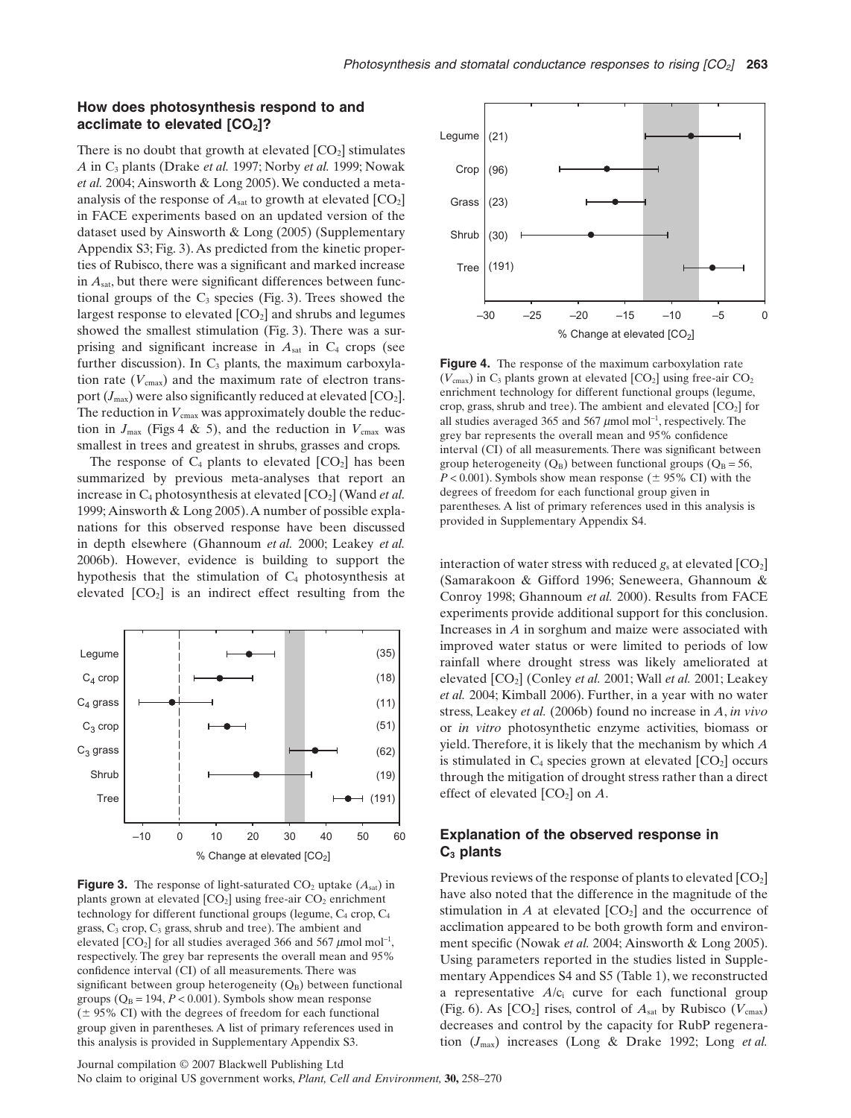## **How does photosynthesis respond to and** acclimate to elevated  $[CO<sub>2</sub>]$ ?

There is no doubt that growth at elevated  $[CO<sub>2</sub>]$  stimulates *A* in C3 plants (Drake *et al.* 1997; Norby *et al.* 1999; Nowak *et al.* 2004; Ainsworth & Long 2005).We conducted a metaanalysis of the response of  $A<sub>sat</sub>$  to growth at elevated  $[CO<sub>2</sub>]$ in FACE experiments based on an updated version of the dataset used by Ainsworth & Long (2005) (Supplementary Appendix S3; Fig. 3). As predicted from the kinetic properties of Rubisco, there was a significant and marked increase in *A*sat, but there were significant differences between functional groups of the  $C_3$  species (Fig. 3). Trees showed the largest response to elevated  $[CO<sub>2</sub>]$  and shrubs and legumes showed the smallest stimulation (Fig. 3). There was a surprising and significant increase in  $A<sub>sat</sub>$  in  $C<sub>4</sub>$  crops (see further discussion). In  $C_3$  plants, the maximum carboxylation rate  $(V_{\text{cmax}})$  and the maximum rate of electron transport  $(J_{\text{max}})$  were also significantly reduced at elevated  $[CO_2]$ . The reduction in  $V_{\text{cmax}}$  was approximately double the reduction in  $J_{\text{max}}$  (Figs 4 & 5), and the reduction in  $V_{\text{cmax}}$  was smallest in trees and greatest in shrubs, grasses and crops.

The response of  $C_4$  plants to elevated  $[CO_2]$  has been summarized by previous meta-analyses that report an increase in  $C_4$  photosynthesis at elevated  $[CO_2]$  (Wand *et al.*) 1999; Ainsworth & Long 2005).A number of possible explanations for this observed response have been discussed in depth elsewhere (Ghannoum *et al.* 2000; Leakey *et al.* 2006b). However, evidence is building to support the hypothesis that the stimulation of  $C_4$  photosynthesis at elevated  $[CO<sub>2</sub>]$  is an indirect effect resulting from the



**Figure 3.** The response of light-saturated  $CO_2$  uptake  $(A_{sat})$  in plants grown at elevated  $[CO_2]$  using free-air  $CO_2$  enrichment technology for different functional groups (legume,  $C_4$  crop,  $C_4$ grass,  $C_3$  crop,  $C_3$  grass, shrub and tree). The ambient and elevated  $[CO_2]$  for all studies averaged 366 and 567  $\mu$ mol mol<sup>-1</sup>, respectively. The grey bar represents the overall mean and 95% confidence interval (CI) of all measurements. There was significant between group heterogeneity  $(Q_B)$  between functional groups  $(Q_B = 194, P < 0.001)$ . Symbols show mean response  $(\pm 95\% \text{ CI})$  with the degrees of freedom for each functional group given in parentheses. A list of primary references used in this analysis is provided in Supplementary Appendix S3.





**Figure 4.** The response of the maximum carboxylation rate  $(V_{\text{cmax}})$  in  $C_3$  plants grown at elevated  $[CO_2]$  using free-air  $CO_2$ enrichment technology for different functional groups (legume, crop, grass, shrub and tree). The ambient and elevated  $[CO<sub>2</sub>]$  for all studies averaged 365 and 567  $\mu$ mol mol<sup>-1</sup>, respectively. The grey bar represents the overall mean and 95% confidence interval (CI) of all measurements. There was significant between group heterogeneity  $(Q_B)$  between functional groups  $(Q_B = 56,$  $P < 0.001$ ). Symbols show mean response ( $\pm$  95% CI) with the degrees of freedom for each functional group given in parentheses. A list of primary references used in this analysis is provided in Supplementary Appendix S4.

interaction of water stress with reduced  $g_s$  at elevated  $[CO_2]$ (Samarakoon & Gifford 1996; Seneweera, Ghannoum & Conroy 1998; Ghannoum *et al.* 2000). Results from FACE experiments provide additional support for this conclusion. Increases in *A* in sorghum and maize were associated with improved water status or were limited to periods of low rainfall where drought stress was likely ameliorated at elevated [CO2] (Conley *et al.* 2001; Wall *et al.* 2001; Leakey *et al.* 2004; Kimball 2006). Further, in a year with no water stress, Leakey *et al.* (2006b) found no increase in *A*, *in vivo* or *in vitro* photosynthetic enzyme activities, biomass or yield. Therefore, it is likely that the mechanism by which *A* is stimulated in  $C_4$  species grown at elevated  $[CO_2]$  occurs through the mitigation of drought stress rather than a direct effect of elevated  $[CO_2]$  on  $A$ .

# **Explanation of the observed response in C3 plants**

Previous reviews of the response of plants to elevated  $[CO<sub>2</sub>]$ have also noted that the difference in the magnitude of the stimulation in  $A$  at elevated  $[CO_2]$  and the occurrence of acclimation appeared to be both growth form and environment specific (Nowak *et al.* 2004; Ainsworth & Long 2005). Using parameters reported in the studies listed in Supplementary Appendices S4 and S5 (Table 1), we reconstructed a representative *A*/ci curve for each functional group (Fig. 6). As  $[CO_2]$  rises, control of  $A<sub>sat</sub>$  by Rubisco ( $V<sub>cmax</sub>$ ) decreases and control by the capacity for RubP regeneration (*J*max) increases (Long & Drake 1992; Long *et al.*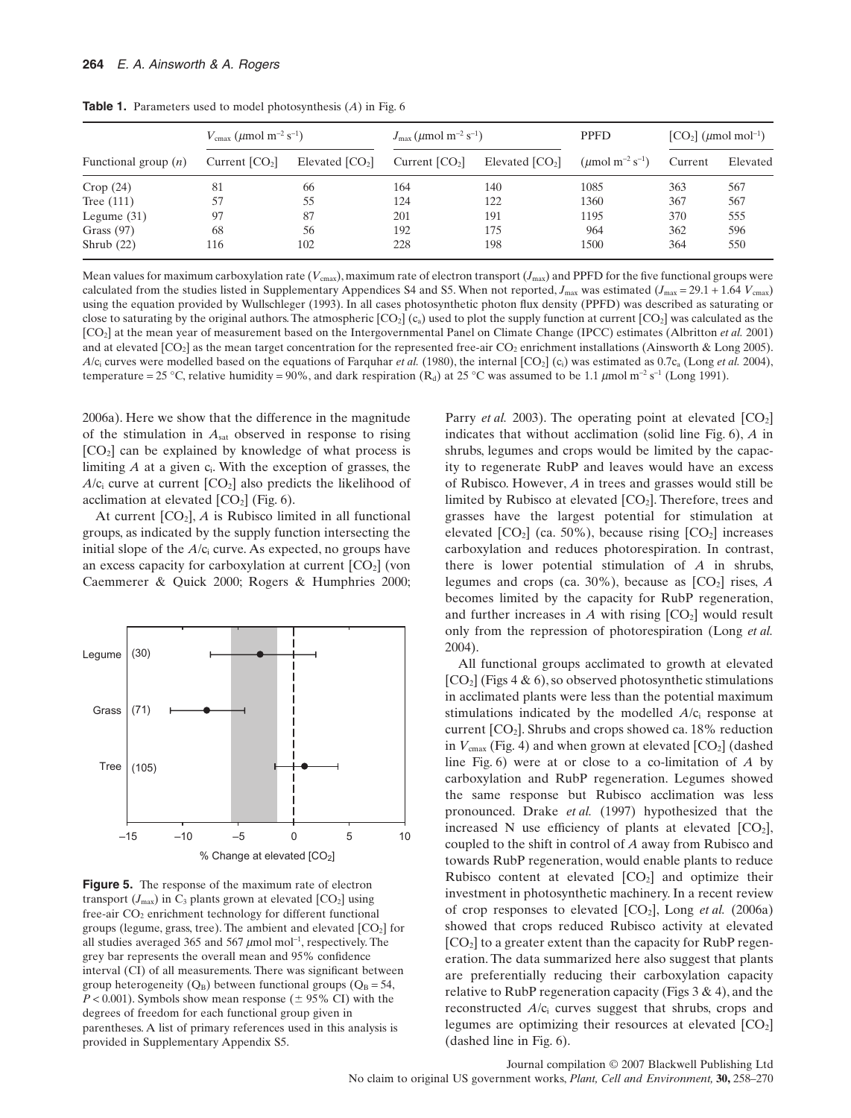| Functional group $(n)$ | $V_{\text{cmax}} (\mu \text{mol m}^{-2} \text{ s}^{-1})$ |                  | $J_{\rm max}$ (µmol m <sup>-2</sup> s <sup>-1</sup> ) |                  | <b>PPFD</b>                                   | $[CO2]$ ( $\mu$ mol mol <sup>-1</sup> ) |          |
|------------------------|----------------------------------------------------------|------------------|-------------------------------------------------------|------------------|-----------------------------------------------|-----------------------------------------|----------|
|                        | Current $[CO2]$                                          | Elevated $[CO2]$ | Current $[CO2]$                                       | Elevated $[CO2]$ | ( $\mu$ mol m <sup>-2</sup> s <sup>-1</sup> ) | Current                                 | Elevated |
| Crop(24)               | 81                                                       | 66               | 164                                                   | 140              | 1085                                          | 363                                     | 567      |
| Tree $(111)$           | 57                                                       | 55               | 124                                                   | 122              | 1360                                          | 367                                     | 567      |
| Legume $(31)$          | 97                                                       | 87               | 201                                                   | 191              | 1195                                          | 370                                     | 555      |
| Grass $(97)$           | 68                                                       | 56               | 192                                                   | 175              | 964                                           | 362                                     | 596      |
| Shrub $(22)$           | 116                                                      | 102              | 228                                                   | 198              | 1500                                          | 364                                     | 550      |

**Table 1.** Parameters used to model photosynthesis (*A*) in Fig. 6

Mean values for maximum carboxylation rate ( $V_{\text{cmax}}$ ), maximum rate of electron transport ( $J_{\text{max}}$ ) and PPFD for the five functional groups were calculated from the studies listed in Supplementary Appendices S4 and S5. When not reported,  $J_{\text{max}}$  was estimated ( $J_{\text{max}} = 29.1 + 1.64$   $V_{\text{cmax}}$ ) using the equation provided by Wullschleger (1993). In all cases photosynthetic photon flux density (PPFD) was described as saturating or close to saturating by the original authors. The atmospheric  $[CO_2](c_a)$  used to plot the supply function at current  $[CO_2]$  was calculated as the [CO2] at the mean year of measurement based on the Intergovernmental Panel on Climate Change (IPCC) estimates (Albritton *et al.* 2001) and at elevated  $[CO_2]$  as the mean target concentration for the represented free-air  $CO_2$  enrichment installations (Ainsworth & Long 2005).  $A/c$ ; curves were modelled based on the equations of Farquhar *et al.* (1980), the internal  $[CO<sub>2</sub>]$  (c<sub>i</sub>) was estimated as 0.7c<sub>a</sub> (Long *et al.* 2004), temperature = 25 °C, relative humidity = 90%, and dark respiration (R<sub>d</sub>) at 25 °C was assumed to be 1.1  $\mu$ mol m<sup>-2</sup> s<sup>-1</sup> (Long 1991).

2006a). Here we show that the difference in the magnitude of the stimulation in  $A<sub>sat</sub>$  observed in response to rising  $[CO<sub>2</sub>]$  can be explained by knowledge of what process is limiting  $A$  at a given  $c_i$ . With the exception of grasses, the  $A/c_i$  curve at current  $[CO_2]$  also predicts the likelihood of acclimation at elevated  $[CO<sub>2</sub>]$  (Fig. 6).

At current  $[CO_2]$ ,  $A$  is Rubisco limited in all functional groups, as indicated by the supply function intersecting the initial slope of the  $A/c<sub>i</sub>$  curve. As expected, no groups have an excess capacity for carboxylation at current  $[CO<sub>2</sub>]$  (von Caemmerer & Quick 2000; Rogers & Humphries 2000;



**Figure 5.** The response of the maximum rate of electron transport  $(J_{\text{max}})$  in  $C_3$  plants grown at elevated  $[CO_2]$  using free-air CO<sub>2</sub> enrichment technology for different functional groups (legume, grass, tree). The ambient and elevated  $[CO<sub>2</sub>]$  for all studies averaged 365 and 567  $\mu$ mol mol<sup>-1</sup>, respectively. The grey bar represents the overall mean and 95% confidence interval (CI) of all measurements. There was significant between group heterogeneity  $(Q_B)$  between functional groups  $(Q_B = 54,$  $P < 0.001$ ). Symbols show mean response ( $\pm$  95% CI) with the degrees of freedom for each functional group given in parentheses. A list of primary references used in this analysis is provided in Supplementary Appendix S5.

Parry *et al.* 2003). The operating point at elevated  $[CO<sub>2</sub>]$ indicates that without acclimation (solid line Fig. 6), *A* in shrubs, legumes and crops would be limited by the capacity to regenerate RubP and leaves would have an excess of Rubisco. However, *A* in trees and grasses would still be limited by Rubisco at elevated  $[CO_2]$ . Therefore, trees and grasses have the largest potential for stimulation at elevated  $[CO_2]$  (ca. 50%), because rising  $[CO_2]$  increases carboxylation and reduces photorespiration. In contrast, there is lower potential stimulation of *A* in shrubs, legumes and crops (ca.  $30\%$ ), because as  $[CO<sub>2</sub>]$  rises, *A* becomes limited by the capacity for RubP regeneration, and further increases in  $A$  with rising  $[CO_2]$  would result only from the repression of photorespiration (Long *et al.* 2004).

All functional groups acclimated to growth at elevated  $[CO<sub>2</sub>]$  (Figs 4 & 6), so observed photosynthetic stimulations in acclimated plants were less than the potential maximum stimulations indicated by the modelled  $A/c<sub>i</sub>$  response at current  $[CO<sub>2</sub>]$ . Shrubs and crops showed ca. 18% reduction in  $V_{\text{cmax}}$  (Fig. 4) and when grown at elevated  $\text{[CO}_2\text{]}$  (dashed line Fig. 6) were at or close to a co-limitation of *A* by carboxylation and RubP regeneration. Legumes showed the same response but Rubisco acclimation was less pronounced. Drake *et al.* (1997) hypothesized that the increased N use efficiency of plants at elevated  $[CO<sub>2</sub>]$ , coupled to the shift in control of *A* away from Rubisco and towards RubP regeneration, would enable plants to reduce Rubisco content at elevated  $[CO<sub>2</sub>]$  and optimize their investment in photosynthetic machinery. In a recent review of crop responses to elevated [CO2], Long *et al.* (2006a) showed that crops reduced Rubisco activity at elevated  $[CO<sub>2</sub>]$  to a greater extent than the capacity for RubP regeneration. The data summarized here also suggest that plants are preferentially reducing their carboxylation capacity relative to RubP regeneration capacity (Figs  $3 \& 4$ ), and the reconstructed *A*/c<sub>i</sub> curves suggest that shrubs, crops and legumes are optimizing their resources at elevated  $[CO<sub>2</sub>]$ (dashed line in Fig. 6).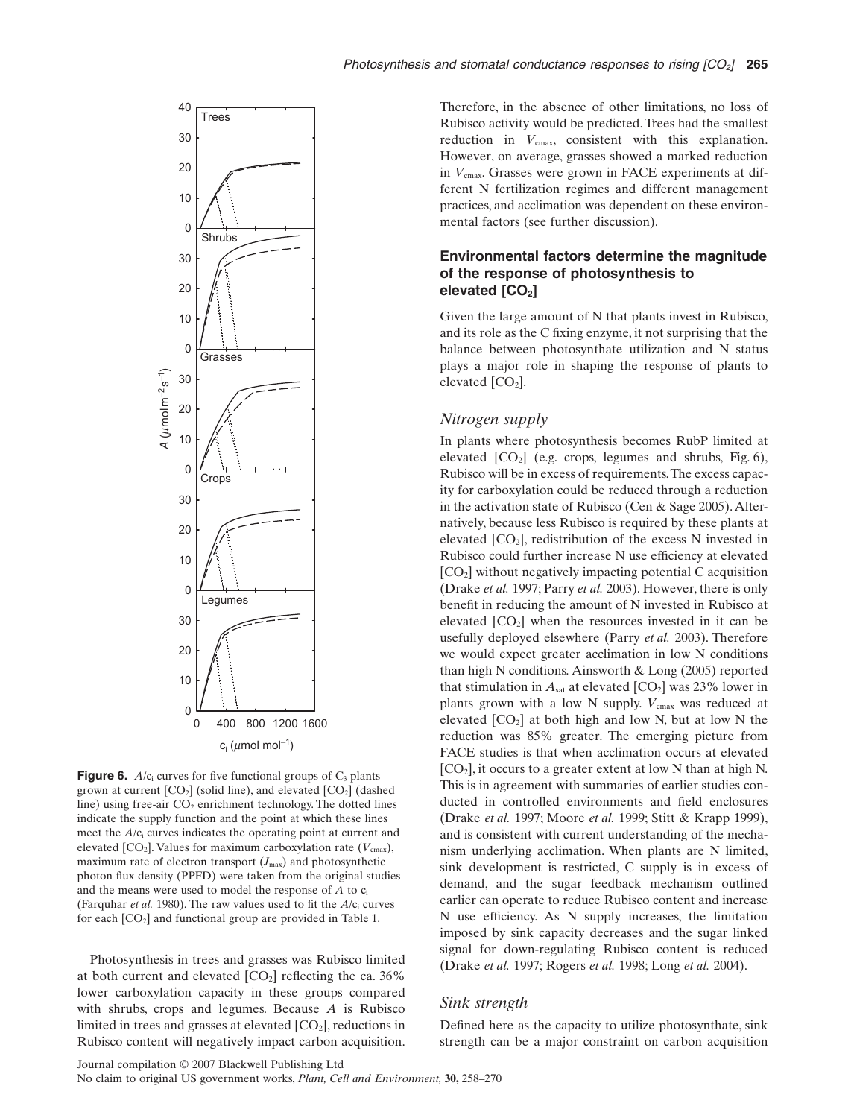

**Figure 6.**  $A/c$  curves for five functional groups of  $C_3$  plants grown at current  $[CO_2]$  (solid line), and elevated  $[CO_2]$  (dashed line) using free-air  $CO<sub>2</sub>$  enrichment technology. The dotted lines indicate the supply function and the point at which these lines meet the *A*/c<sub>i</sub> curves indicates the operating point at current and elevated  $[CO_2]$ . Values for maximum carboxylation rate  $(V_{\text{cmax}})$ , maximum rate of electron transport  $(J_{\text{max}})$  and photosynthetic photon flux density (PPFD) were taken from the original studies and the means were used to model the response of  $A$  to  $c_i$ (Farquhar *et al.* 1980). The raw values used to fit the  $A/c$  curves for each  $[CO_2]$  and functional group are provided in Table 1.

Photosynthesis in trees and grasses was Rubisco limited at both current and elevated  $[CO_2]$  reflecting the ca. 36% lower carboxylation capacity in these groups compared with shrubs, crops and legumes. Because *A* is Rubisco limited in trees and grasses at elevated  $[CO<sub>2</sub>]$ , reductions in Rubisco content will negatively impact carbon acquisition. Therefore, in the absence of other limitations, no loss of Rubisco activity would be predicted. Trees had the smallest reduction in  $V_{\text{cmax}}$ , consistent with this explanation. However, on average, grasses showed a marked reduction in  $V_{\text{cmax}}$ . Grasses were grown in FACE experiments at different N fertilization regimes and different management practices, and acclimation was dependent on these environmental factors (see further discussion).

# **Environmental factors determine the magnitude of the response of photosynthesis to elevated** [CO<sub>2</sub>]

Given the large amount of N that plants invest in Rubisco, and its role as the C fixing enzyme, it not surprising that the balance between photosynthate utilization and N status plays a major role in shaping the response of plants to elevated  $[CO<sub>2</sub>]$ .

#### *Nitrogen supply*

In plants where photosynthesis becomes RubP limited at elevated  $[CO_2]$  (e.g. crops, legumes and shrubs, Fig. 6), Rubisco will be in excess of requirements.The excess capacity for carboxylation could be reduced through a reduction in the activation state of Rubisco (Cen & Sage 2005). Alternatively, because less Rubisco is required by these plants at elevated  $[CO_2]$ , redistribution of the excess N invested in Rubisco could further increase N use efficiency at elevated [CO2] without negatively impacting potential C acquisition (Drake *et al.* 1997; Parry *et al.* 2003). However, there is only benefit in reducing the amount of N invested in Rubisco at elevated  $[CO<sub>2</sub>]$  when the resources invested in it can be usefully deployed elsewhere (Parry *et al.* 2003). Therefore we would expect greater acclimation in low N conditions than high N conditions. Ainsworth & Long (2005) reported that stimulation in  $A<sub>sat</sub>$  at elevated  $[CO<sub>2</sub>]$  was 23% lower in plants grown with a low N supply.  $V_{\text{cmax}}$  was reduced at elevated  $[CO_2]$  at both high and low N, but at low N the reduction was 85% greater. The emerging picture from FACE studies is that when acclimation occurs at elevated [CO2], it occurs to a greater extent at low N than at high N. This is in agreement with summaries of earlier studies conducted in controlled environments and field enclosures (Drake *et al.* 1997; Moore *et al.* 1999; Stitt & Krapp 1999), and is consistent with current understanding of the mechanism underlying acclimation. When plants are N limited, sink development is restricted, C supply is in excess of demand, and the sugar feedback mechanism outlined earlier can operate to reduce Rubisco content and increase N use efficiency. As N supply increases, the limitation imposed by sink capacity decreases and the sugar linked signal for down-regulating Rubisco content is reduced (Drake *et al.* 1997; Rogers *et al.* 1998; Long *et al.* 2004).

# *Sink strength*

Defined here as the capacity to utilize photosynthate, sink strength can be a major constraint on carbon acquisition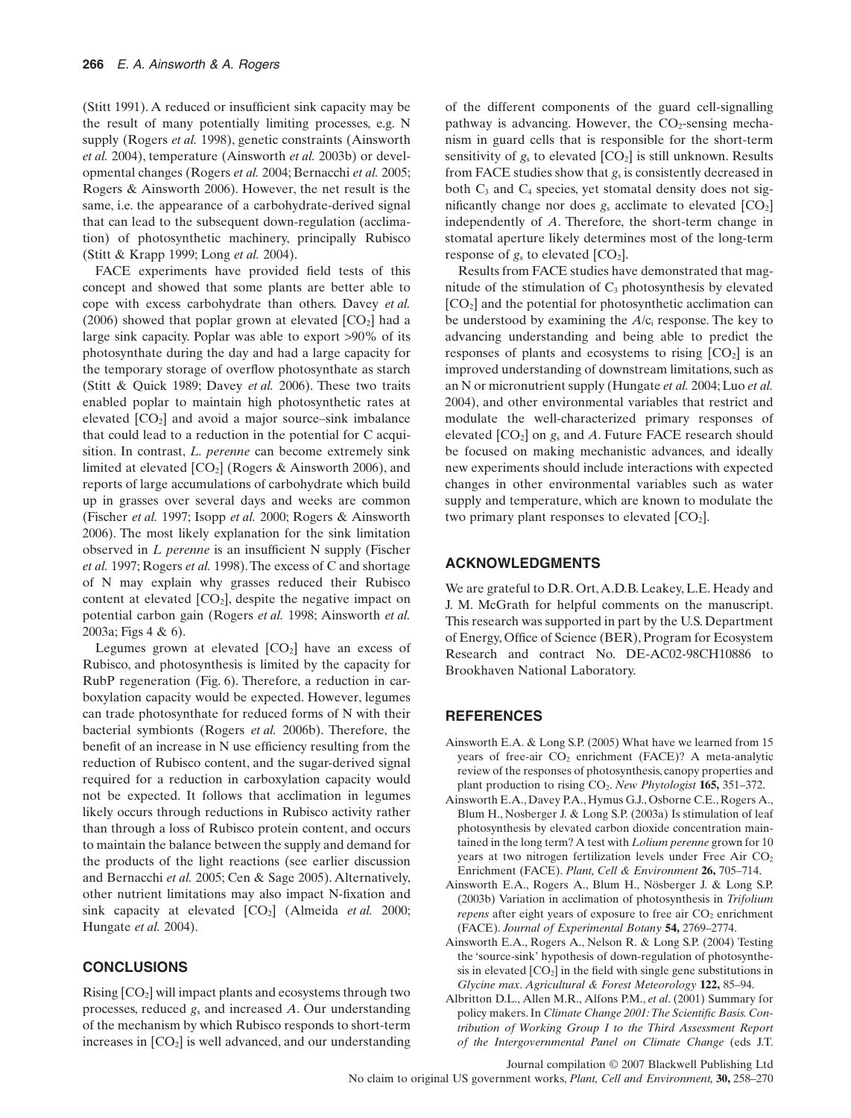(Stitt 1991). A reduced or insufficient sink capacity may be the result of many potentially limiting processes, e.g. N supply (Rogers *et al.* 1998), genetic constraints (Ainsworth *et al.* 2004), temperature (Ainsworth *et al.* 2003b) or developmental changes (Rogers *et al.* 2004; Bernacchi *et al.* 2005; Rogers & Ainsworth 2006). However, the net result is the same, i.e. the appearance of a carbohydrate-derived signal that can lead to the subsequent down-regulation (acclimation) of photosynthetic machinery, principally Rubisco (Stitt & Krapp 1999; Long *et al.* 2004).

FACE experiments have provided field tests of this concept and showed that some plants are better able to cope with excess carbohydrate than others. Davey *et al.* (2006) showed that poplar grown at elevated  $[CO<sub>2</sub>]$  had a large sink capacity. Poplar was able to export >90% of its photosynthate during the day and had a large capacity for the temporary storage of overflow photosynthate as starch (Stitt & Quick 1989; Davey *et al.* 2006). These two traits enabled poplar to maintain high photosynthetic rates at elevated  $[CO<sub>2</sub>]$  and avoid a major source–sink imbalance that could lead to a reduction in the potential for C acquisition. In contrast, *L. perenne* can become extremely sink limited at elevated  $[CO_2]$  (Rogers & Ainsworth 2006), and reports of large accumulations of carbohydrate which build up in grasses over several days and weeks are common (Fischer *et al.* 1997; Isopp *et al.* 2000; Rogers & Ainsworth 2006). The most likely explanation for the sink limitation observed in *L perenne* is an insufficient N supply (Fischer *et al.* 1997; Rogers *et al.* 1998).The excess of C and shortage of N may explain why grasses reduced their Rubisco content at elevated  $[CO_2]$ , despite the negative impact on potential carbon gain (Rogers *et al.* 1998; Ainsworth *et al.* 2003a; Figs 4 & 6).

Legumes grown at elevated  $[CO<sub>2</sub>]$  have an excess of Rubisco, and photosynthesis is limited by the capacity for RubP regeneration (Fig. 6). Therefore, a reduction in carboxylation capacity would be expected. However, legumes can trade photosynthate for reduced forms of N with their bacterial symbionts (Rogers *et al.* 2006b). Therefore, the benefit of an increase in N use efficiency resulting from the reduction of Rubisco content, and the sugar-derived signal required for a reduction in carboxylation capacity would not be expected. It follows that acclimation in legumes likely occurs through reductions in Rubisco activity rather than through a loss of Rubisco protein content, and occurs to maintain the balance between the supply and demand for the products of the light reactions (see earlier discussion and Bernacchi *et al.* 2005; Cen & Sage 2005). Alternatively, other nutrient limitations may also impact N-fixation and sink capacity at elevated [CO<sub>2</sub>] (Almeida *et al.* 2000; Hungate *et al.* 2004).

# **CONCLUSIONS**

Rising  $[CO<sub>2</sub>]$  will impact plants and ecosystems through two processes, reduced *g*<sup>s</sup> and increased *A*. Our understanding of the mechanism by which Rubisco responds to short-term increases in  $[CO_2]$  is well advanced, and our understanding of the different components of the guard cell-signalling pathway is advancing. However, the  $CO<sub>2</sub>$ -sensing mechanism in guard cells that is responsible for the short-term sensitivity of  $g_s$  to elevated  $[CO_2]$  is still unknown. Results from FACE studies show that *g*<sup>s</sup> is consistently decreased in both  $C_3$  and  $C_4$  species, yet stomatal density does not significantly change nor does  $g_s$  acclimate to elevated  $[CO_2]$ independently of *A*. Therefore, the short-term change in stomatal aperture likely determines most of the long-term response of  $g_s$  to elevated  $[CO_2]$ .

Results from FACE studies have demonstrated that magnitude of the stimulation of  $C_3$  photosynthesis by elevated [CO2] and the potential for photosynthetic acclimation can be understood by examining the *A*/ci response. The key to advancing understanding and being able to predict the responses of plants and ecosystems to rising  $[CO<sub>2</sub>]$  is an improved understanding of downstream limitations, such as an N or micronutrient supply (Hungate *et al.* 2004; Luo *et al.* 2004), and other environmental variables that restrict and modulate the well-characterized primary responses of elevated [CO2] on *g*<sup>s</sup> and *A*. Future FACE research should be focused on making mechanistic advances, and ideally new experiments should include interactions with expected changes in other environmental variables such as water supply and temperature, which are known to modulate the two primary plant responses to elevated  $[CO<sub>2</sub>]$ .

# **ACKNOWLEDGMENTS**

We are grateful to D.R. Ort,A.D.B. Leakey, L.E. Heady and J. M. McGrath for helpful comments on the manuscript. This research was supported in part by the U.S. Department of Energy, Office of Science (BER), Program for Ecosystem Research and contract No. DE-AC02-98CH10886 to Brookhaven National Laboratory.

#### **REFERENCES**

- Ainsworth E.A. & Long S.P. (2005) What have we learned from 15 years of free-air  $CO<sub>2</sub>$  enrichment (FACE)? A meta-analytic review of the responses of photosynthesis, canopy properties and plant production to rising CO2. *New Phytologist* **165,** 351–372.
- Ainsworth E.A., Davey P.A., Hymus G.J., Osborne C.E., Rogers A., Blum H., Nosberger J. & Long S.P. (2003a) Is stimulation of leaf photosynthesis by elevated carbon dioxide concentration maintained in the long term? A test with *Lolium perenne* grown for 10 years at two nitrogen fertilization levels under Free Air  $CO<sub>2</sub>$ Enrichment (FACE). *Plant, Cell & Environment* **26,** 705–714.
- Ainsworth E.A., Rogers A., Blum H., Nösberger J. & Long S.P. (2003b) Variation in acclimation of photosynthesis in *Trifolium repens* after eight years of exposure to free air  $CO<sub>2</sub>$  enrichment (FACE). *Journal of Experimental Botany* **54,** 2769–2774.
- Ainsworth E.A., Rogers A., Nelson R. & Long S.P. (2004) Testing the 'source-sink' hypothesis of down-regulation of photosynthesis in elevated  $[CO_2]$  in the field with single gene substitutions in *Glycine max*. *Agricultural & Forest Meteorology* **122,** 85–94.
- Albritton D.L., Allen M.R., Alfons P.M., *et al*. (2001) Summary for policy makers. In *Climate Change 2001:The Scientific Basis. Contribution of Working Group I to the Third Assessment Report of the Intergovernmental Panel on Climate Change* (eds J.T.

Journal compilation © 2007 Blackwell Publishing Ltd No claim to original US government works, *Plant, Cell and Environment,* **30,** 258–270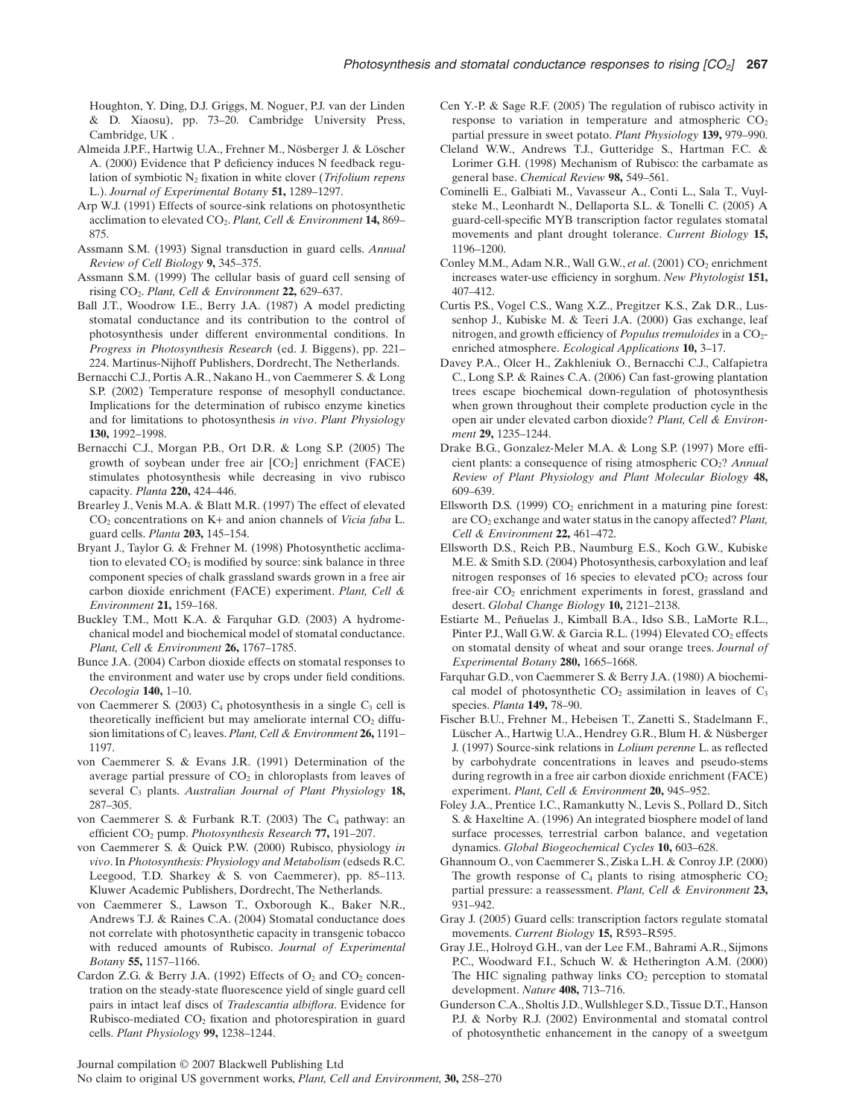Houghton, Y. Ding, D.J. Griggs, M. Noguer, P.J. van der Linden & D. Xiaosu), pp. 73–20. Cambridge University Press, Cambridge, UK .

- Almeida J.P.F., Hartwig U.A., Frehner M., Nösberger J. & Löscher A. (2000) Evidence that P deficiency induces N feedback regulation of symbiotic N2 fixation in white clover (*Trifolium repens* L.). *Journal of Experimental Botany* **51,** 1289–1297.
- Arp W.J. (1991) Effects of source-sink relations on photosynthetic acclimation to elevated CO2. *Plant, Cell & Environment* **14,** 869– 875.
- Assmann S.M. (1993) Signal transduction in guard cells. *Annual Review of Cell Biology* **9,** 345–375.
- Assmann S.M. (1999) The cellular basis of guard cell sensing of rising CO2. *Plant, Cell & Environment* **22,** 629–637.
- Ball J.T., Woodrow I.E., Berry J.A. (1987) A model predicting stomatal conductance and its contribution to the control of photosynthesis under different environmental conditions. In *Progress in Photosynthesis Research* (ed. J. Biggens), pp. 221– 224. Martinus-Nijhoff Publishers, Dordrecht, The Netherlands.
- Bernacchi C.J., Portis A.R., Nakano H., von Caemmerer S. & Long S.P. (2002) Temperature response of mesophyll conductance. Implications for the determination of rubisco enzyme kinetics and for limitations to photosynthesis *in vivo*. *Plant Physiology* **130,** 1992–1998.
- Bernacchi C.J., Morgan P.B., Ort D.R. & Long S.P. (2005) The growth of soybean under free air  $[CO<sub>2</sub>]$  enrichment (FACE) stimulates photosynthesis while decreasing in vivo rubisco capacity. *Planta* **220,** 424–446.
- Brearley J., Venis M.A. & Blatt M.R. (1997) The effect of elevated CO2 concentrations on K+ and anion channels of *Vicia faba* L. guard cells. *Planta* **203,** 145–154.
- Bryant J., Taylor G. & Frehner M. (1998) Photosynthetic acclimation to elevated  $CO<sub>2</sub>$  is modified by source: sink balance in three component species of chalk grassland swards grown in a free air carbon dioxide enrichment (FACE) experiment. *Plant, Cell & Environment* **21,** 159–168.
- Buckley T.M., Mott K.A. & Farquhar G.D. (2003) A hydromechanical model and biochemical model of stomatal conductance. *Plant, Cell & Environment* **26,** 1767–1785.
- Bunce J.A. (2004) Carbon dioxide effects on stomatal responses to the environment and water use by crops under field conditions. *Oecologia* **140,** 1–10.
- von Caemmerer S. (2003)  $C_4$  photosynthesis in a single  $C_3$  cell is theoretically inefficient but may ameliorate internal  $CO<sub>2</sub>$  diffusion limitations of C3 leaves.*Plant, Cell & Environment* **26,** 1191– 1197.
- von Caemmerer S. & Evans J.R. (1991) Determination of the average partial pressure of  $CO<sub>2</sub>$  in chloroplasts from leaves of several C3 plants. *Australian Journal of Plant Physiology* **18,** 287–305.
- von Caemmerer S. & Furbank R.T. (2003) The  $C_4$  pathway: an efficient CO2 pump. *Photosynthesis Research* **77,** 191–207.
- von Caemmerer S. & Quick P.W. (2000) Rubisco, physiology *in vivo*. In *Photosynthesis: Physiology and Metabolism* (edseds R.C. Leegood, T.D. Sharkey & S. von Caemmerer), pp. 85–113. Kluwer Academic Publishers, Dordrecht, The Netherlands.
- von Caemmerer S., Lawson T., Oxborough K., Baker N.R., Andrews T.J. & Raines C.A. (2004) Stomatal conductance does not correlate with photosynthetic capacity in transgenic tobacco with reduced amounts of Rubisco. *Journal of Experimental Botany* **55,** 1157–1166.
- Cardon Z.G. & Berry J.A. (1992) Effects of  $O_2$  and  $CO_2$  concentration on the steady-state fluorescence yield of single guard cell pairs in intact leaf discs of *Tradescantia albiflora*. Evidence for Rubisco-mediated CO2 fixation and photorespiration in guard cells. *Plant Physiology* **99,** 1238–1244.
- Cen Y.-P. & Sage R.F. (2005) The regulation of rubisco activity in response to variation in temperature and atmospheric  $CO<sub>2</sub>$ partial pressure in sweet potato. *Plant Physiology* **139,** 979–990.
- Cleland W.W., Andrews T.J., Gutteridge S., Hartman F.C. & Lorimer G.H. (1998) Mechanism of Rubisco: the carbamate as general base. *Chemical Review* **98,** 549–561.
- Cominelli E., Galbiati M., Vavasseur A., Conti L., Sala T., Vuylsteke M., Leonhardt N., Dellaporta S.L. & Tonelli C. (2005) A guard-cell-specific MYB transcription factor regulates stomatal movements and plant drought tolerance. *Current Biology* **15,** 1196–1200.
- Conley M.M., Adam N.R., Wall G.W., et al. (2001) CO<sub>2</sub> enrichment increases water-use efficiency in sorghum. *New Phytologist* **151,** 407–412.
- Curtis P.S., Vogel C.S., Wang X.Z., Pregitzer K.S., Zak D.R., Lussenhop J., Kubiske M. & Teeri J.A. (2000) Gas exchange, leaf nitrogen, and growth efficiency of *Populus tremuloides* in a CO<sub>2</sub>enriched atmosphere. *Ecological Applications* **10,** 3–17.
- Davey P.A., Olcer H., Zakhleniuk O., Bernacchi C.J., Calfapietra C., Long S.P. & Raines C.A. (2006) Can fast-growing plantation trees escape biochemical down-regulation of photosynthesis when grown throughout their complete production cycle in the open air under elevated carbon dioxide? *Plant, Cell & Environment* **29,** 1235–1244.
- Drake B.G., Gonzalez-Meler M.A. & Long S.P. (1997) More efficient plants: a consequence of rising atmospheric CO<sub>2</sub>? *Annual Review of Plant Physiology and Plant Molecular Biology* **48,** 609–639.
- Ellsworth D.S. (1999)  $CO<sub>2</sub>$  enrichment in a maturing pine forest: are CO2 exchange and water status in the canopy affected? *Plant, Cell & Environment* **22,** 461–472.
- Ellsworth D.S., Reich P.B., Naumburg E.S., Koch G.W., Kubiske M.E. & Smith S.D. (2004) Photosynthesis, carboxylation and leaf nitrogen responses of 16 species to elevated  $pCO<sub>2</sub>$  across four free-air CO<sub>2</sub> enrichment experiments in forest, grassland and desert. *Global Change Biology* **10,** 2121–2138.
- Estiarte M., Peñuelas J., Kimball B.A., Idso S.B., LaMorte R.L., Pinter P.J., Wall G.W. & Garcia R.L. (1994) Elevated CO<sub>2</sub> effects on stomatal density of wheat and sour orange trees. *Journal of Experimental Botany* **280,** 1665–1668.
- Farquhar G.D., von Caemmerer S. & Berry J.A. (1980) A biochemical model of photosynthetic  $CO<sub>2</sub>$  assimilation in leaves of  $C<sub>3</sub>$ species. *Planta* **149,** 78–90.
- Fischer B.U., Frehner M., Hebeisen T., Zanetti S., Stadelmann F., Lüscher A., Hartwig U.A., Hendrey G.R., Blum H. & Nüsberger J. (1997) Source-sink relations in *Lolium perenne* L. as reflected by carbohydrate concentrations in leaves and pseudo-stems during regrowth in a free air carbon dioxide enrichment (FACE) experiment. *Plant, Cell & Environment* **20,** 945–952.
- Foley J.A., Prentice I.C., Ramankutty N., Levis S., Pollard D., Sitch S. & Haxeltine A. (1996) An integrated biosphere model of land surface processes, terrestrial carbon balance, and vegetation dynamics. *Global Biogeochemical Cycles* **10,** 603–628.
- Ghannoum O., von Caemmerer S., Ziska L.H. & Conroy J.P. (2000) The growth response of  $C_4$  plants to rising atmospheric  $CO<sub>2</sub>$ partial pressure: a reassessment. *Plant, Cell & Environment* **23,** 931–942.
- Gray J. (2005) Guard cells: transcription factors regulate stomatal movements. *Current Biology* **15,** R593–R595.
- Gray J.E., Holroyd G.H., van der Lee F.M., Bahrami A.R., Sijmons P.C., Woodward F.I., Schuch W. & Hetherington A.M. (2000) The HIC signaling pathway links  $CO<sub>2</sub>$  perception to stomatal development. *Nature* **408,** 713–716.
- Gunderson C.A., Sholtis J.D.,Wullshleger S.D., Tissue D.T., Hanson P.J. & Norby R.J. (2002) Environmental and stomatal control of photosynthetic enhancement in the canopy of a sweetgum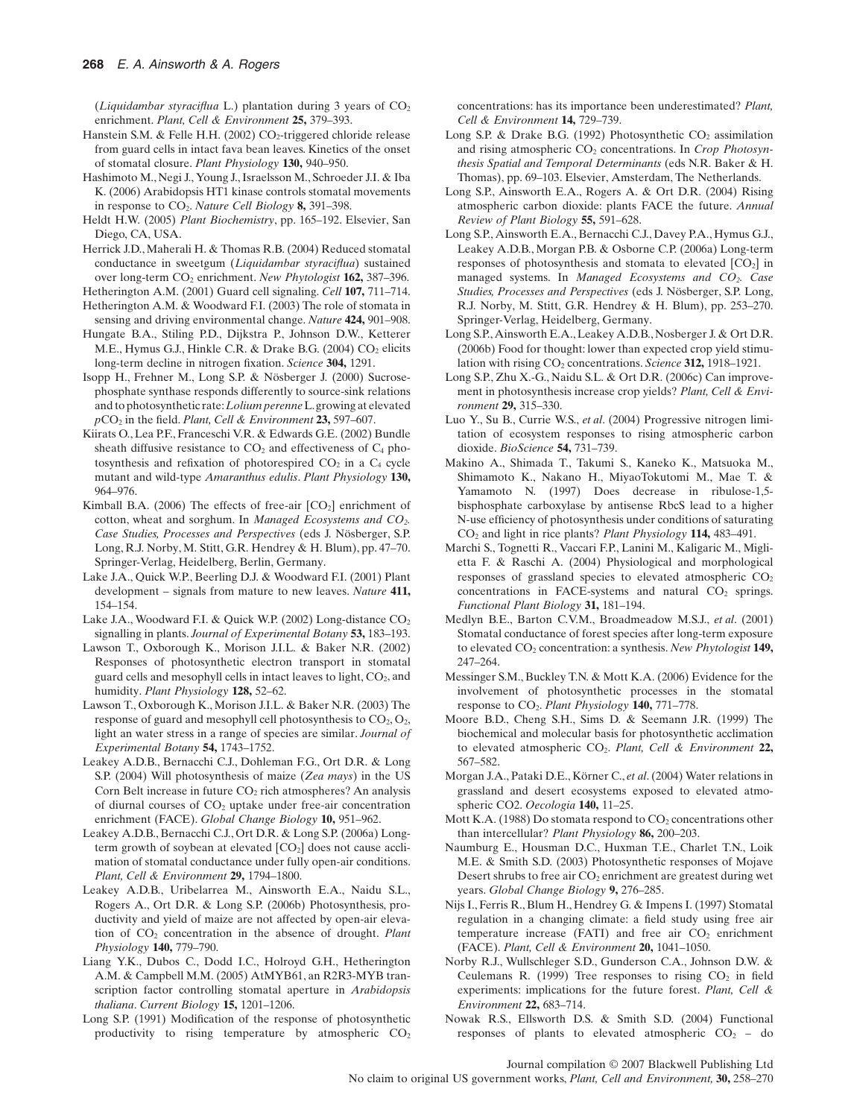(*Liquidambar styraciflua* L.) plantation during 3 years of  $CO<sub>2</sub>$ enrichment. *Plant, Cell & Environment* **25,** 379–393.

- Hanstein S.M. & Felle H.H. (2002)  $CO<sub>2</sub>$ -triggered chloride release from guard cells in intact fava bean leaves. Kinetics of the onset of stomatal closure. *Plant Physiology* **130,** 940–950.
- Hashimoto M., Negi J., Young J., Israelsson M., Schroeder J.I. & Iba K. (2006) Arabidopsis HT1 kinase controls stomatal movements in response to CO2. *Nature Cell Biology* **8,** 391–398.
- Heldt H.W. (2005) *Plant Biochemistry*, pp. 165–192. Elsevier, San Diego, CA, USA.
- Herrick J.D., Maherali H. & Thomas R.B. (2004) Reduced stomatal conductance in sweetgum (*Liquidambar styraciflua*) sustained over long-term CO2 enrichment. *New Phytologist* **162,** 387–396.
- Hetherington A.M. (2001) Guard cell signaling. *Cell* **107,** 711–714. Hetherington A.M. & Woodward F.I. (2003) The role of stomata in sensing and driving environmental change. *Nature* **424,** 901–908.
- Hungate B.A., Stiling P.D., Dijkstra P., Johnson D.W., Ketterer M.E., Hymus G.J., Hinkle C.R. & Drake B.G. (2004)  $CO<sub>2</sub>$  elicits long-term decline in nitrogen fixation. *Science* **304,** 1291.
- Isopp H., Frehner M., Long S.P. & Nösberger J. (2000) Sucrosephosphate synthase responds differently to source-sink relations and to photosynthetic rate:*Lolium perenne*L.growing at elevated *p*CO2 in the field. *Plant, Cell & Environment* **23,** 597–607.
- Kiirats O., Lea P.F., Franceschi V.R. & Edwards G.E. (2002) Bundle sheath diffusive resistance to  $CO<sub>2</sub>$  and effectiveness of  $C<sub>4</sub>$  photosynthesis and refixation of photorespired  $CO<sub>2</sub>$  in a  $C<sub>4</sub>$  cycle mutant and wild-type *Amaranthus edulis*. *Plant Physiology* **130,** 964–976.
- Kimball B.A. (2006) The effects of free-air  $[CO<sub>2</sub>]$  enrichment of cotton, wheat and sorghum. In *Managed Ecosystems and CO2. Case Studies, Processes and Perspectives* (eds J. Nösberger, S.P. Long, R.J. Norby, M. Stitt, G.R. Hendrey & H. Blum), pp. 47–70. Springer-Verlag, Heidelberg, Berlin, Germany.
- Lake J.A., Quick W.P., Beerling D.J. & Woodward F.I. (2001) Plant development – signals from mature to new leaves. *Nature* **411,** 154–154.
- Lake J.A., Woodward F.I. & Quick W.P. (2002) Long-distance  $CO<sub>2</sub>$ signalling in plants. *Journal of Experimental Botany* **53,** 183–193.
- Lawson T., Oxborough K., Morison J.I.L. & Baker N.R. (2002) Responses of photosynthetic electron transport in stomatal guard cells and mesophyll cells in intact leaves to light,  $CO<sub>2</sub>$ , and humidity. *Plant Physiology* **128,** 52–62.
- Lawson T., Oxborough K., Morison J.I.L. & Baker N.R. (2003) The response of guard and mesophyll cell photosynthesis to  $CO<sub>2</sub>, O<sub>2</sub>$ , light an water stress in a range of species are similar. *Journal of Experimental Botany* **54,** 1743–1752.
- Leakey A.D.B., Bernacchi C.J., Dohleman F.G., Ort D.R. & Long S.P. (2004) Will photosynthesis of maize (*Zea mays*) in the US Corn Belt increase in future  $CO<sub>2</sub>$  rich atmospheres? An analysis of diurnal courses of  $CO<sub>2</sub>$  uptake under free-air concentration enrichment (FACE). *Global Change Biology* **10,** 951–962.
- Leakey A.D.B., Bernacchi C.J., Ort D.R. & Long S.P. (2006a) Longterm growth of soybean at elevated  $[CO<sub>2</sub>]$  does not cause acclimation of stomatal conductance under fully open-air conditions. *Plant, Cell & Environment* **29,** 1794–1800.
- Leakey A.D.B., Uribelarrea M., Ainsworth E.A., Naidu S.L., Rogers A., Ort D.R. & Long S.P. (2006b) Photosynthesis, productivity and yield of maize are not affected by open-air elevation of CO2 concentration in the absence of drought. *Plant Physiology* **140,** 779–790.
- Liang Y.K., Dubos C., Dodd I.C., Holroyd G.H., Hetherington A.M. & Campbell M.M. (2005) AtMYB61, an R2R3-MYB transcription factor controlling stomatal aperture in *Arabidopsis thaliana*. *Current Biology* **15,** 1201–1206.
- Long S.P. (1991) Modification of the response of photosynthetic productivity to rising temperature by atmospheric  $CO<sub>2</sub>$

concentrations: has its importance been underestimated? *Plant, Cell & Environment* **14,** 729–739.

- Long S.P. & Drake B.G. (1992) Photosynthetic  $CO_2$  assimilation and rising atmospheric CO<sub>2</sub> concentrations. In *Crop Photosynthesis Spatial and Temporal Determinants* (eds N.R. Baker & H. Thomas), pp. 69–103. Elsevier, Amsterdam, The Netherlands.
- Long S.P., Ainsworth E.A., Rogers A. & Ort D.R. (2004) Rising atmospheric carbon dioxide: plants FACE the future. *Annual Review of Plant Biology* **55,** 591–628.
- Long S.P., Ainsworth E.A., Bernacchi C.J., Davey P.A., Hymus G.J., Leakey A.D.B., Morgan P.B. & Osborne C.P. (2006a) Long-term responses of photosynthesis and stomata to elevated  $[CO<sub>2</sub>]$  in managed systems. In *Managed Ecosystems and CO2. Case Studies, Processes and Perspectives* (eds J. Nösberger, S.P. Long, R.J. Norby, M. Stitt, G.R. Hendrey & H. Blum), pp. 253–270. Springer-Verlag, Heidelberg, Germany.
- Long S.P., Ainsworth E.A., Leakey A.D.B., Nosberger J. & Ort D.R. (2006b) Food for thought: lower than expected crop yield stimulation with rising CO2 concentrations. *Science* **312,** 1918–1921.
- Long S.P., Zhu X.-G., Naidu S.L. & Ort D.R. (2006c) Can improvement in photosynthesis increase crop yields? *Plant, Cell & Environment* **29,** 315–330.
- Luo Y., Su B., Currie W.S., *et al*. (2004) Progressive nitrogen limitation of ecosystem responses to rising atmospheric carbon dioxide. *BioScience* **54,** 731–739.
- Makino A., Shimada T., Takumi S., Kaneko K., Matsuoka M., Shimamoto K., Nakano H., MiyaoTokutomi M., Mae T. & Yamamoto N. (1997) Does decrease in ribulose-1,5 bisphosphate carboxylase by antisense RbcS lead to a higher N-use efficiency of photosynthesis under conditions of saturating CO2 and light in rice plants? *Plant Physiology* **114,** 483–491.
- Marchi S., Tognetti R., Vaccari F.P., Lanini M., Kaligaric M., Miglietta F. & Raschi A. (2004) Physiological and morphological responses of grassland species to elevated atmospheric  $CO<sub>2</sub>$ concentrations in FACE-systems and natural  $CO<sub>2</sub>$  springs. *Functional Plant Biology* **31,** 181–194.
- Medlyn B.E., Barton C.V.M., Broadmeadow M.S.J., *et al*. (2001) Stomatal conductance of forest species after long-term exposure to elevated CO<sub>2</sub> concentration: a synthesis. *New Phytologist* 149, 247–264.
- Messinger S.M., Buckley T.N. & Mott K.A. (2006) Evidence for the involvement of photosynthetic processes in the stomatal response to CO2. *Plant Physiology* **140,** 771–778.
- Moore B.D., Cheng S.H., Sims D. & Seemann J.R. (1999) The biochemical and molecular basis for photosynthetic acclimation to elevated atmospheric CO2. *Plant, Cell & Environment* **22,** 567–582.
- Morgan J.A., Pataki D.E., Körner C., *et al*. (2004) Water relations in grassland and desert ecosystems exposed to elevated atmospheric CO2. *Oecologia* **140,** 11–25.
- Mott K.A. (1988) Do stomata respond to  $CO<sub>2</sub>$  concentrations other than intercellular? *Plant Physiology* **86,** 200–203.
- Naumburg E., Housman D.C., Huxman T.E., Charlet T.N., Loik M.E. & Smith S.D. (2003) Photosynthetic responses of Mojave Desert shrubs to free air  $CO<sub>2</sub>$  enrichment are greatest during wet years. *Global Change Biology* **9,** 276–285.
- Nijs I., Ferris R., Blum H., Hendrey G. & Impens I. (1997) Stomatal regulation in a changing climate: a field study using free air temperature increase (FATI) and free air  $CO<sub>2</sub>$  enrichment (FACE). *Plant, Cell & Environment* **20,** 1041–1050.
- Norby R.J., Wullschleger S.D., Gunderson C.A., Johnson D.W. & Ceulemans R. (1999) Tree responses to rising  $CO<sub>2</sub>$  in field experiments: implications for the future forest. *Plant, Cell & Environment* **22,** 683–714.
- Nowak R.S., Ellsworth D.S. & Smith S.D. (2004) Functional responses of plants to elevated atmospheric  $CO<sub>2</sub>$  – do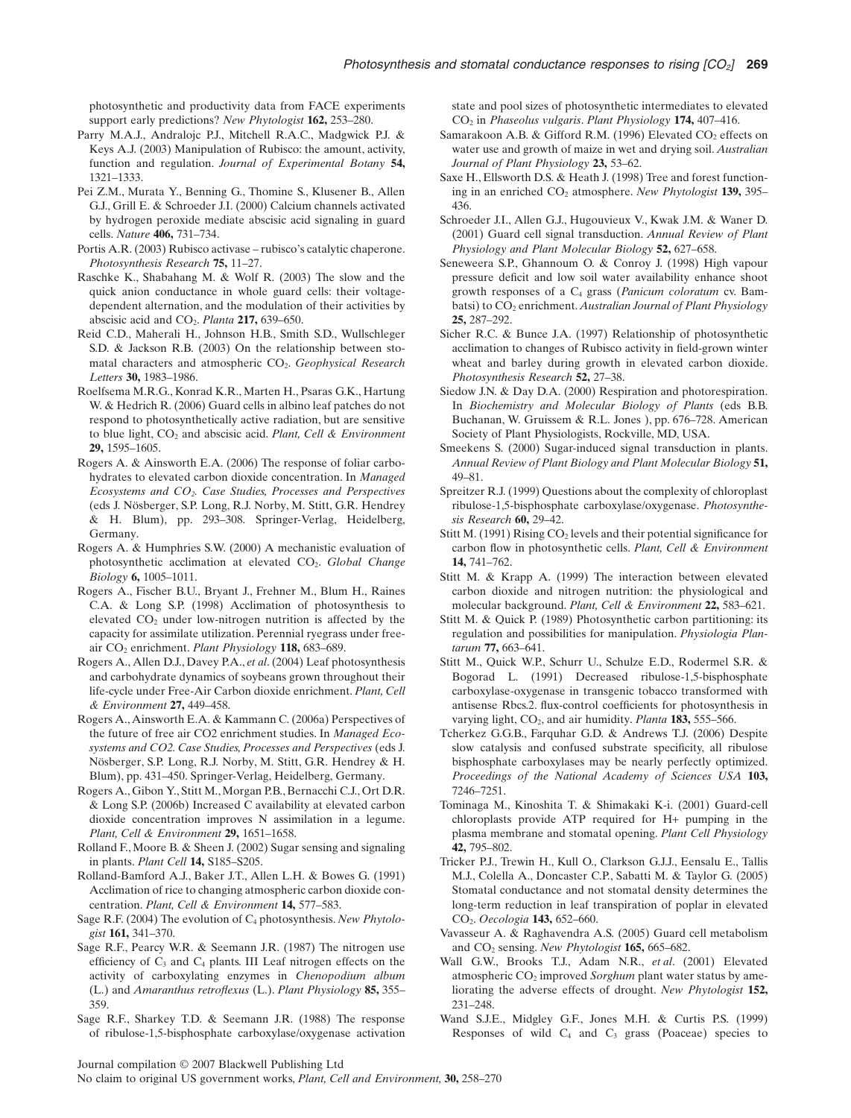photosynthetic and productivity data from FACE experiments support early predictions? *New Phytologist* **162,** 253–280.

- Parry M.A.J., Andralojc P.J., Mitchell R.A.C., Madgwick P.J. & Keys A.J. (2003) Manipulation of Rubisco: the amount, activity, function and regulation. *Journal of Experimental Botany* **54,** 1321–1333.
- Pei Z.M., Murata Y., Benning G., Thomine S., Klusener B., Allen G.J., Grill E. & Schroeder J.I. (2000) Calcium channels activated by hydrogen peroxide mediate abscisic acid signaling in guard cells. *Nature* **406,** 731–734.
- Portis A.R. (2003) Rubisco activase rubisco's catalytic chaperone. *Photosynthesis Research* **75,** 11–27.
- Raschke K., Shabahang M. & Wolf R. (2003) The slow and the quick anion conductance in whole guard cells: their voltagedependent alternation, and the modulation of their activities by abscisic acid and CO2. *Planta* **217,** 639–650.
- Reid C.D., Maherali H., Johnson H.B., Smith S.D., Wullschleger S.D. & Jackson R.B. (2003) On the relationship between stomatal characters and atmospheric CO2. *Geophysical Research Letters* **30,** 1983–1986.
- Roelfsema M.R.G., Konrad K.R., Marten H., Psaras G.K., Hartung W. & Hedrich R. (2006) Guard cells in albino leaf patches do not respond to photosynthetically active radiation, but are sensitive to blue light, CO<sub>2</sub> and abscisic acid. *Plant, Cell & Environment* **29,** 1595–1605.
- Rogers A. & Ainsworth E.A. (2006) The response of foliar carbohydrates to elevated carbon dioxide concentration. In *Managed Ecosystems and CO2. Case Studies, Processes and Perspectives* (eds J. Nösberger, S.P. Long, R.J. Norby, M. Stitt, G.R. Hendrey & H. Blum), pp. 293–308. Springer-Verlag, Heidelberg, Germany.
- Rogers A. & Humphries S.W. (2000) A mechanistic evaluation of photosynthetic acclimation at elevated CO2. *Global Change Biology* **6,** 1005–1011.
- Rogers A., Fischer B.U., Bryant J., Frehner M., Blum H., Raines C.A. & Long S.P. (1998) Acclimation of photosynthesis to elevated CO2 under low-nitrogen nutrition is affected by the capacity for assimilate utilization. Perennial ryegrass under freeair CO2 enrichment. *Plant Physiology* **118,** 683–689.
- Rogers A., Allen D.J., Davey P.A., *et al*. (2004) Leaf photosynthesis and carbohydrate dynamics of soybeans grown throughout their life-cycle under Free-Air Carbon dioxide enrichment. *Plant, Cell & Environment* **27,** 449–458.
- Rogers A., Ainsworth E.A. & Kammann C. (2006a) Perspectives of the future of free air CO2 enrichment studies. In *Managed Ecosystems and CO2. Case Studies, Processes and Perspectives* (eds J. Nösberger, S.P. Long, R.J. Norby, M. Stitt, G.R. Hendrey & H. Blum), pp. 431–450. Springer-Verlag, Heidelberg, Germany.
- Rogers A., Gibon Y., Stitt M.,Morgan P.B., Bernacchi C.J., Ort D.R. & Long S.P. (2006b) Increased C availability at elevated carbon dioxide concentration improves N assimilation in a legume. *Plant, Cell & Environment* **29,** 1651–1658.
- Rolland F., Moore B. & Sheen J. (2002) Sugar sensing and signaling in plants. *Plant Cell* **14,** S185–S205.
- Rolland-Bamford A.J., Baker J.T., Allen L.H. & Bowes G. (1991) Acclimation of rice to changing atmospheric carbon dioxide concentration. *Plant, Cell & Environment* **14,** 577–583.
- Sage R.F. (2004) The evolution of C4 photosynthesis. *New Phytologist* **161,** 341–370.
- Sage R.F., Pearcy W.R. & Seemann J.R. (1987) The nitrogen use efficiency of  $C_3$  and  $C_4$  plants. III Leaf nitrogen effects on the activity of carboxylating enzymes in *Chenopodium album* (L.) and *Amaranthus retroflexus* (L.). *Plant Physiology* **85,** 355– 359.
- Sage R.F., Sharkey T.D. & Seemann J.R. (1988) The response of ribulose-1,5-bisphosphate carboxylase/oxygenase activation

state and pool sizes of photosynthetic intermediates to elevated CO2 in *Phaseolus vulgaris*. *Plant Physiology* **174,** 407–416.

- Samarakoon A.B. & Gifford R.M. (1996) Elevated  $CO<sub>2</sub>$  effects on water use and growth of maize in wet and drying soil. *Australian Journal of Plant Physiology* **23,** 53–62.
- Saxe H., Ellsworth D.S. & Heath J. (1998) Tree and forest functioning in an enriched CO2 atmosphere. *New Phytologist* **139,** 395– 436.
- Schroeder J.I., Allen G.J., Hugouvieux V., Kwak J.M. & Waner D. (2001) Guard cell signal transduction. *Annual Review of Plant Physiology and Plant Molecular Biology* **52,** 627–658.
- Seneweera S.P., Ghannoum O. & Conroy J. (1998) High vapour pressure deficit and low soil water availability enhance shoot growth responses of a C4 grass (*Panicum coloratum* cv. Bambatsi) to  $CO<sub>2</sub>$  enrichment. *Australian Journal of Plant Physiology* **25,** 287–292.
- Sicher R.C. & Bunce J.A. (1997) Relationship of photosynthetic acclimation to changes of Rubisco activity in field-grown winter wheat and barley during growth in elevated carbon dioxide. *Photosynthesis Research* **52,** 27–38.
- Siedow J.N. & Day D.A. (2000) Respiration and photorespiration. In *Biochemistry and Molecular Biology of Plants* (eds B.B. Buchanan, W. Gruissem & R.L. Jones ), pp. 676–728. American Society of Plant Physiologists, Rockville, MD, USA.
- Smeekens S. (2000) Sugar-induced signal transduction in plants. *Annual Review of Plant Biology and Plant Molecular Biology* **51,** 49–81.
- Spreitzer R.J. (1999) Questions about the complexity of chloroplast ribulose-1,5-bisphosphate carboxylase/oxygenase. *Photosynthesis Research* **60,** 29–42.
- Stitt M. (1991) Rising  $CO<sub>2</sub>$  levels and their potential significance for carbon flow in photosynthetic cells. *Plant, Cell & Environment* **14,** 741–762.
- Stitt M. & Krapp A. (1999) The interaction between elevated carbon dioxide and nitrogen nutrition: the physiological and molecular background. *Plant, Cell & Environment* **22,** 583–621.
- Stitt M. & Quick P. (1989) Photosynthetic carbon partitioning: its regulation and possibilities for manipulation. *Physiologia Plantarum* **77,** 663–641.
- Stitt M., Quick W.P., Schurr U., Schulze E.D., Rodermel S.R. & Bogorad L. (1991) Decreased ribulose-1,5-bisphosphate carboxylase-oxygenase in transgenic tobacco transformed with antisense Rbcs.2. flux-control coefficients for photosynthesis in varying light, CO<sub>2</sub>, and air humidity. *Planta* **183,** 555–566.
- Tcherkez G.G.B., Farquhar G.D. & Andrews T.J. (2006) Despite slow catalysis and confused substrate specificity, all ribulose bisphosphate carboxylases may be nearly perfectly optimized. *Proceedings of the National Academy of Sciences USA* **103,** 7246–7251.
- Tominaga M., Kinoshita T. & Shimakaki K-i. (2001) Guard-cell chloroplasts provide ATP required for H+ pumping in the plasma membrane and stomatal opening. *Plant Cell Physiology* **42,** 795–802.
- Tricker P.J., Trewin H., Kull O., Clarkson G.J.J., Eensalu E., Tallis M.J., Colella A., Doncaster C.P., Sabatti M. & Taylor G. (2005) Stomatal conductance and not stomatal density determines the long-term reduction in leaf transpiration of poplar in elevated CO2. *Oecologia* **143,** 652–660.
- Vavasseur A. & Raghavendra A.S. (2005) Guard cell metabolism and CO2 sensing. *New Phytologist* **165,** 665–682.
- Wall G.W., Brooks T.J., Adam N.R., *et al*. (2001) Elevated atmospheric CO<sub>2</sub> improved *Sorghum* plant water status by ameliorating the adverse effects of drought. *New Phytologist* **152,** 231–248.
- Wand S.J.E., Midgley G.F., Jones M.H. & Curtis P.S. (1999) Responses of wild  $C_4$  and  $C_3$  grass (Poaceae) species to